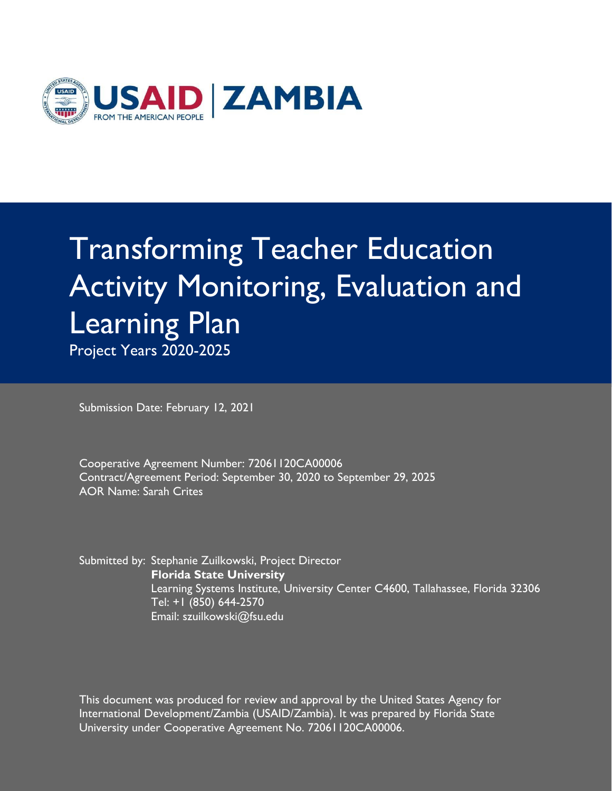

# Transforming Teacher Education Activity Monitoring, Evaluation and Learning Plan Project Years 2020-2025

Submission Date: February 12, 2021

Cooperative Agreement Number: 72061120CA00006 Contract/Agreement Period: September 30, 2020 to September 29, 2025 AOR Name: Sarah Crites

Submitted by: Stephanie Zuilkowski, Project Director **Florida State University** Learning Systems Institute, University Center C4600, Tallahassee, Florida 32306 Tel: +1 (850) 644-2570 Email: szuilkowski@fsu.edu

University under Cooperative Agreement No. 72061120CA00006. This document was produced for review and approval by the United States Agency for International Development/Zambia (USAID/Zambia). It was prepared by Florida State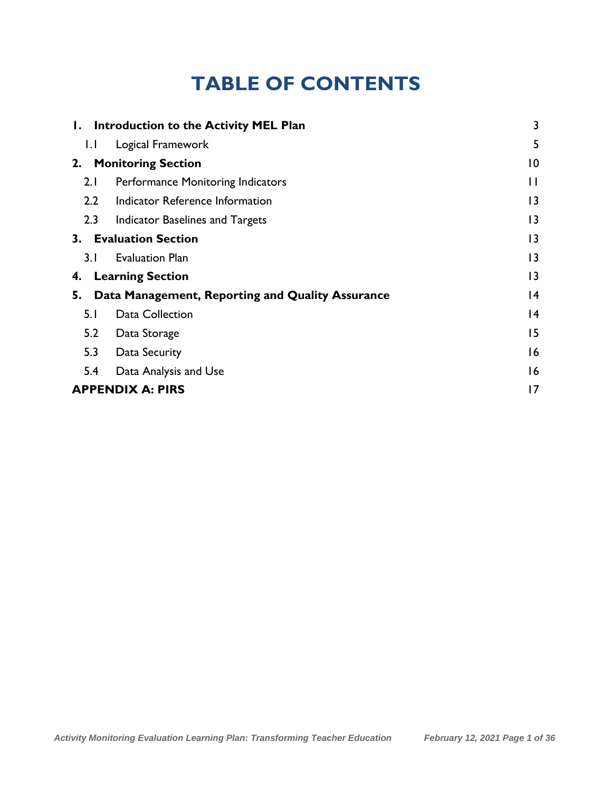# **TABLE OF CONTENTS**

| Ι.               | Introduction to the Activity MEL Plan            | 3               |
|------------------|--------------------------------------------------|-----------------|
| 1.1              | Logical Framework                                | 5               |
| 2.               | <b>Monitoring Section</b>                        | 0               |
| 2.1              | Performance Monitoring Indicators                | $\mathsf{H}$    |
| $2.2\phantom{0}$ | Indicator Reference Information                  | 3               |
| 2.3              | Indicator Baselines and Targets                  | $\overline{13}$ |
| 3.               | <b>Evaluation Section</b>                        | 3               |
| 3.1              | <b>Evaluation Plan</b>                           | 3               |
| 4.               | <b>Learning Section</b>                          | 3               |
| 5.               | Data Management, Reporting and Quality Assurance | 4               |
| 5.1              | Data Collection                                  | 4               |
| 5.2              | Data Storage                                     | 15              |
| 5.3              | Data Security                                    | 16              |
| 5.4              | Data Analysis and Use                            | 16              |
|                  | <b>APPENDIX A: PIRS</b>                          | 17              |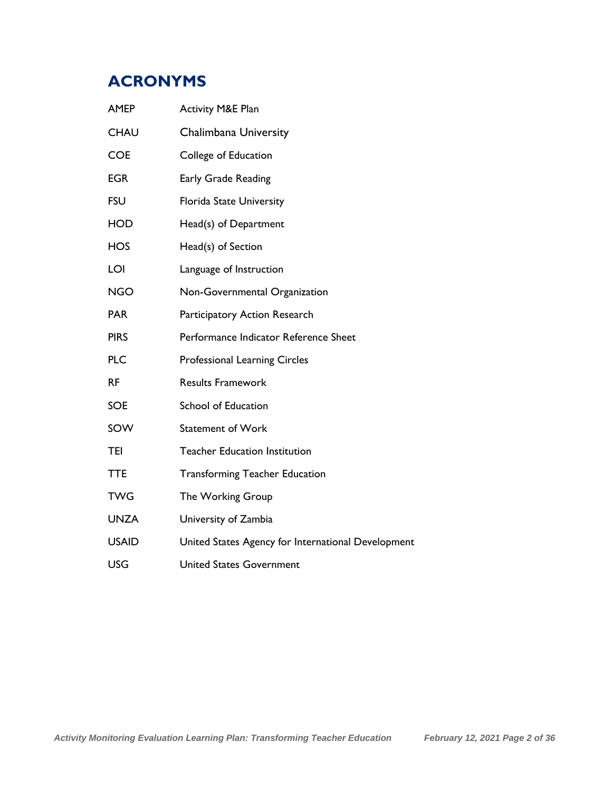# **ACRONYMS**

| <b>AMEP</b>  | <b>Activity M&amp;E Plan</b>                       |
|--------------|----------------------------------------------------|
| <b>CHAU</b>  | Chalimbana University                              |
| <b>COE</b>   | College of Education                               |
| <b>EGR</b>   | Early Grade Reading                                |
| <b>FSU</b>   | Florida State University                           |
| <b>HOD</b>   | Head(s) of Department                              |
| <b>HOS</b>   | Head(s) of Section                                 |
| LOI          | Language of Instruction                            |
| <b>NGO</b>   | Non-Governmental Organization                      |
| <b>PAR</b>   | Participatory Action Research                      |
| <b>PIRS</b>  | Performance Indicator Reference Sheet              |
| <b>PLC</b>   | <b>Professional Learning Circles</b>               |
| <b>RF</b>    | <b>Results Framework</b>                           |
| <b>SOE</b>   | School of Education                                |
| SOW          | Statement of Work                                  |
| TEI          | <b>Teacher Education Institution</b>               |
| <b>TTE</b>   | <b>Transforming Teacher Education</b>              |
| <b>TWG</b>   | The Working Group                                  |
| <b>UNZA</b>  | University of Zambia                               |
| <b>USAID</b> | United States Agency for International Development |
| <b>USG</b>   | <b>United States Government</b>                    |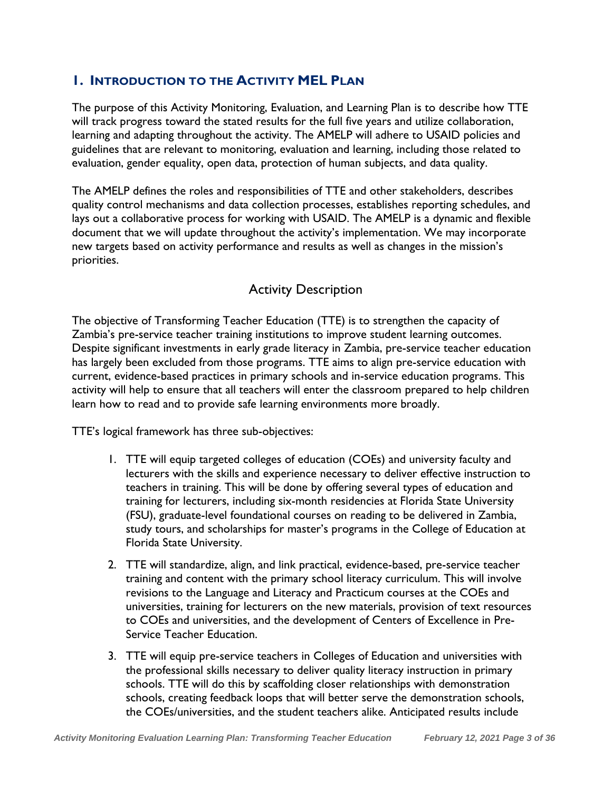#### <span id="page-3-0"></span>**1. INTRODUCTION TO THE ACTIVITY MEL PLAN**

The purpose of this Activity Monitoring, Evaluation, and Learning Plan is to describe how TTE will track progress toward the stated results for the full five years and utilize collaboration, learning and adapting throughout the activity. The AMELP will adhere to USAID policies and guidelines that are relevant to monitoring, evaluation and learning, including those related to evaluation, gender equality, open data, protection of human subjects, and data quality.

The AMELP defines the roles and responsibilities of TTE and other stakeholders, describes quality control mechanisms and data collection processes, establishes reporting schedules, and lays out a collaborative process for working with USAID. The AMELP is a dynamic and flexible document that we will update throughout the activity's implementation. We may incorporate new targets based on activity performance and results as well as changes in the mission's priorities.

#### Activity Description

The objective of Transforming Teacher Education (TTE) is to strengthen the capacity of Zambia's pre-service teacher training institutions to improve student learning outcomes. Despite significant investments in early grade literacy in Zambia, pre-service teacher education has largely been excluded from those programs. TTE aims to align pre-service education with current, evidence-based practices in primary schools and in-service education programs. This activity will help to ensure that all teachers will enter the classroom prepared to help children learn how to read and to provide safe learning environments more broadly.

TTE's logical framework has three sub-objectives:

- 1. TTE will equip targeted colleges of education (COEs) and university faculty and lecturers with the skills and experience necessary to deliver effective instruction to teachers in training. This will be done by offering several types of education and training for lecturers, including six-month residencies at Florida State University (FSU), graduate-level foundational courses on reading to be delivered in Zambia, study tours, and scholarships for master's programs in the College of Education at Florida State University.
- 2. TTE will standardize, align, and link practical, evidence-based, pre-service teacher training and content with the primary school literacy curriculum. This will involve revisions to the Language and Literacy and Practicum courses at the COEs and universities, training for lecturers on the new materials, provision of text resources to COEs and universities, and the development of Centers of Excellence in Pre-Service Teacher Education.
- 3. TTE will equip pre-service teachers in Colleges of Education and universities with the professional skills necessary to deliver quality literacy instruction in primary schools. TTE will do this by scaffolding closer relationships with demonstration schools, creating feedback loops that will better serve the demonstration schools, the COEs/universities, and the student teachers alike. Anticipated results include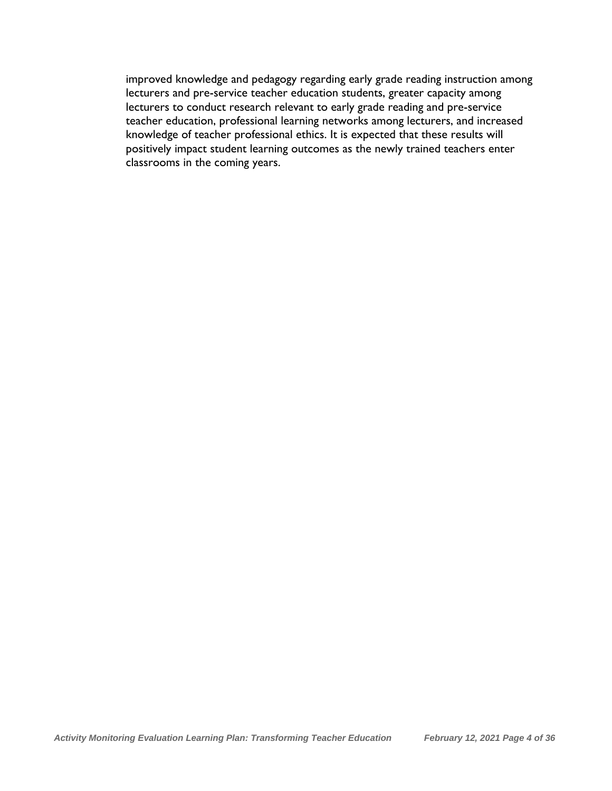improved knowledge and pedagogy regarding early grade reading instruction among lecturers and pre-service teacher education students, greater capacity among lecturers to conduct research relevant to early grade reading and pre-service teacher education, professional learning networks among lecturers, and increased knowledge of teacher professional ethics. It is expected that these results will positively impact student learning outcomes as the newly trained teachers enter classrooms in the coming years.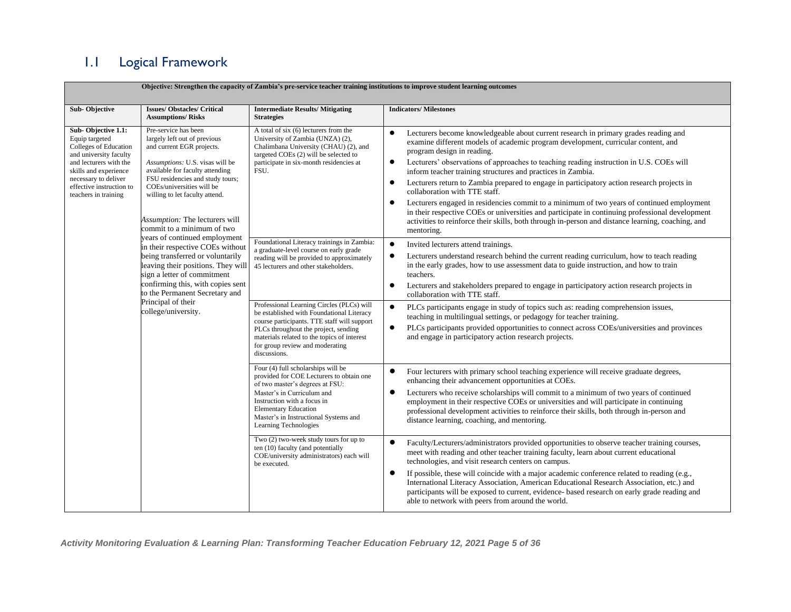# 1.1 Logical Framework

**Objective: Strengthen the capacity of Zambia's pre-service teacher training institutions to improve student learning outcomes**

<span id="page-5-0"></span>

| <b>Sub-Objective</b>                                                                                                                                                                                                   | <b>Issues/Obstacles/Critical</b><br><b>Assumptions/Risks</b>                                                                                                                                                                                                                                                               | <b>Intermediate Results/Mitigating</b><br><b>Strategies</b>                                                                                                                                                                                                                     | <b>Indicators/Milestones</b>                                                                                                                                                                                                                                                                                                                                                                                                                                                                                                                                                                                                                                                                                                                                                                                                                                           |
|------------------------------------------------------------------------------------------------------------------------------------------------------------------------------------------------------------------------|----------------------------------------------------------------------------------------------------------------------------------------------------------------------------------------------------------------------------------------------------------------------------------------------------------------------------|---------------------------------------------------------------------------------------------------------------------------------------------------------------------------------------------------------------------------------------------------------------------------------|------------------------------------------------------------------------------------------------------------------------------------------------------------------------------------------------------------------------------------------------------------------------------------------------------------------------------------------------------------------------------------------------------------------------------------------------------------------------------------------------------------------------------------------------------------------------------------------------------------------------------------------------------------------------------------------------------------------------------------------------------------------------------------------------------------------------------------------------------------------------|
| Sub-Objective 1.1:<br>Equip targeted<br>Colleges of Education<br>and university faculty<br>and lecturers with the<br>skills and experience<br>necessary to deliver<br>effective instruction to<br>teachers in training | Pre-service has been<br>largely left out of previous<br>and current EGR projects.<br>Assumptions: U.S. visas will be<br>available for faculty attending<br>FSU residencies and study tours;<br>COEs/universities will be<br>willing to let faculty attend.<br>Assumption: The lecturers will<br>commit to a minimum of two | A total of six (6) lecturers from the<br>University of Zambia (UNZA) (2),<br>Chalimbana University (CHAU) (2), and<br>targeted COEs (2) will be selected to<br>participate in six-month residencies at<br>FSU.                                                                  | Lecturers become knowledgeable about current research in primary grades reading and<br>$\bullet$<br>examine different models of academic program development, curricular content, and<br>program design in reading.<br>Lecturers' observations of approaches to teaching reading instruction in U.S. COEs will<br>$\bullet$<br>inform teacher training structures and practices in Zambia.<br>Lecturers return to Zambia prepared to engage in participatory action research projects in<br>$\bullet$<br>collaboration with TTE staff.<br>Lecturers engaged in residencies commit to a minimum of two years of continued employment<br>$\bullet$<br>in their respective COEs or universities and participate in continuing professional development<br>activities to reinforce their skills, both through in-person and distance learning, coaching, and<br>mentoring. |
|                                                                                                                                                                                                                        | years of continued employment<br>in their respective COEs without<br>being transferred or voluntarily<br>leaving their positions. They will<br>sign a letter of commitment<br>confirming this, with copies sent<br>to the Permanent Secretary and<br>Principal of their<br>college/university.                             | Foundational Literacy trainings in Zambia:<br>a graduate-level course on early grade<br>reading will be provided to approximately<br>45 lecturers and other stakeholders.                                                                                                       | $\bullet$<br>Invited lecturers attend trainings.<br>Lecturers understand research behind the current reading curriculum, how to teach reading<br>$\bullet$<br>in the early grades, how to use assessment data to guide instruction, and how to train<br>teachers.<br>Lecturers and stakeholders prepared to engage in participatory action research projects in<br>$\bullet$<br>collaboration with TTE staff.                                                                                                                                                                                                                                                                                                                                                                                                                                                          |
|                                                                                                                                                                                                                        |                                                                                                                                                                                                                                                                                                                            | Professional Learning Circles (PLCs) will<br>be established with Foundational Literacy<br>course participants. TTE staff will support<br>PLCs throughout the project, sending<br>materials related to the topics of interest<br>for group review and moderating<br>discussions. | $\bullet$<br>PLCs participants engage in study of topics such as: reading comprehension issues,<br>teaching in multilingual settings, or pedagogy for teacher training.<br>PLCs participants provided opportunities to connect across COEs/universities and provinces<br>$\bullet$<br>and engage in participatory action research projects.                                                                                                                                                                                                                                                                                                                                                                                                                                                                                                                            |
|                                                                                                                                                                                                                        |                                                                                                                                                                                                                                                                                                                            | Four (4) full scholarships will be<br>provided for COE Lecturers to obtain one<br>of two master's degrees at FSU:<br>Master's in Curriculum and<br>Instruction with a focus in<br><b>Elementary Education</b><br>Master's in Instructional Systems and<br>Learning Technologies | Four lecturers with primary school teaching experience will receive graduate degrees,<br>enhancing their advancement opportunities at COEs.<br>Lecturers who receive scholarships will commit to a minimum of two years of continued<br>$\bullet$<br>employment in their respective COEs or universities and will participate in continuing<br>professional development activities to reinforce their skills, both through in-person and<br>distance learning, coaching, and mentoring.                                                                                                                                                                                                                                                                                                                                                                                |
|                                                                                                                                                                                                                        |                                                                                                                                                                                                                                                                                                                            | Two (2) two-week study tours for up to<br>ten (10) faculty (and potentially<br>COE/university administrators) each will<br>be executed.                                                                                                                                         | Faculty/Lecturers/administrators provided opportunities to observe teacher training courses,<br>meet with reading and other teacher training faculty, learn about current educational<br>technologies, and visit research centers on campus.<br>If possible, these will coincide with a major academic conference related to reading (e.g.,<br>$\bullet$<br>International Literacy Association, American Educational Research Association, etc.) and<br>participants will be exposed to current, evidence- based research on early grade reading and<br>able to network with peers from around the world.                                                                                                                                                                                                                                                              |

 *Activity Monitoring Evaluation & Learning Plan: Transforming Teacher Education February 12, 2021 Page 5 of 36*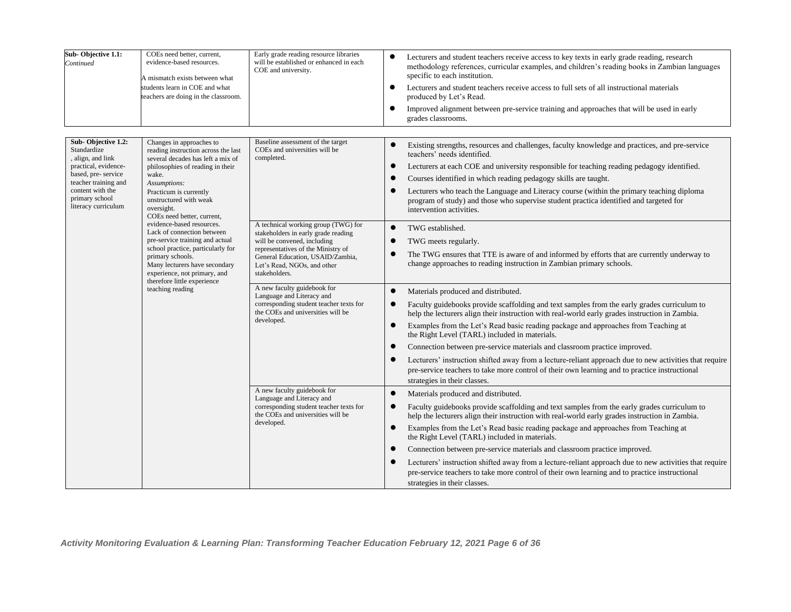| Sub-Objective 1.1:<br>Continued                                                                                                                                                           | COEs need better, current,<br>evidence-based resources.<br>A mismatch exists between what<br>students learn in COE and what<br>teachers are doing in the classroom.                                                                                                                                                                                                                                                                                                                                                                          | Early grade reading resource libraries<br>will be established or enhanced in each<br>COE and university.                                                                                                                                                                                                                                                                                                                                                                                                                                                                                                                                    | Lecturers and student teachers receive access to key texts in early grade reading, research<br>$\bullet$<br>methodology references, curricular examples, and children's reading books in Zambian languages<br>specific to each institution.<br>Lecturers and student teachers receive access to full sets of all instructional materials<br>$\bullet$<br>produced by Let's Read.<br>Improved alignment between pre-service training and approaches that will be used in early<br>$\bullet$<br>grades classrooms.                                                                                                                                                                                                                                                                                                                                                                                                                                                                                                                                                                                                                                                                                                                                                                                                                                                                                                                                                                                                                                                                                                                                                                                                                        |
|-------------------------------------------------------------------------------------------------------------------------------------------------------------------------------------------|----------------------------------------------------------------------------------------------------------------------------------------------------------------------------------------------------------------------------------------------------------------------------------------------------------------------------------------------------------------------------------------------------------------------------------------------------------------------------------------------------------------------------------------------|---------------------------------------------------------------------------------------------------------------------------------------------------------------------------------------------------------------------------------------------------------------------------------------------------------------------------------------------------------------------------------------------------------------------------------------------------------------------------------------------------------------------------------------------------------------------------------------------------------------------------------------------|-----------------------------------------------------------------------------------------------------------------------------------------------------------------------------------------------------------------------------------------------------------------------------------------------------------------------------------------------------------------------------------------------------------------------------------------------------------------------------------------------------------------------------------------------------------------------------------------------------------------------------------------------------------------------------------------------------------------------------------------------------------------------------------------------------------------------------------------------------------------------------------------------------------------------------------------------------------------------------------------------------------------------------------------------------------------------------------------------------------------------------------------------------------------------------------------------------------------------------------------------------------------------------------------------------------------------------------------------------------------------------------------------------------------------------------------------------------------------------------------------------------------------------------------------------------------------------------------------------------------------------------------------------------------------------------------------------------------------------------------|
| Sub-Objective 1.2:<br>Standardize<br>, align, and link<br>practical, evidence-<br>based, pre-service<br>teacher training and<br>content with the<br>primary school<br>literacy curriculum | Changes in approaches to<br>reading instruction across the last<br>several decades has left a mix of<br>philosophies of reading in their<br>wake.<br>Assumptions:<br>Practicum is currently<br>unstructured with weak<br>oversight.<br>COEs need better, current,<br>evidence-based resources.<br>Lack of connection between<br>pre-service training and actual<br>school practice, particularly for<br>primary schools.<br>Many lecturers have secondary<br>experience, not primary, and<br>therefore little experience<br>teaching reading | Baseline assessment of the target<br>COEs and universities will be<br>completed.<br>A technical working group (TWG) for<br>stakeholders in early grade reading<br>will be convened, including<br>representatives of the Ministry of<br>General Education, USAID/Zambia,<br>Let's Read, NGOs, and other<br>stakeholders.<br>A new faculty guidebook for<br>Language and Literacy and<br>corresponding student teacher texts for<br>the COEs and universities will be<br>developed.<br>A new faculty guidebook for<br>Language and Literacy and<br>corresponding student teacher texts for<br>the COEs and universities will be<br>developed. | Existing strengths, resources and challenges, faculty knowledge and practices, and pre-service<br>teachers' needs identified.<br>Lecturers at each COE and university responsible for teaching reading pedagogy identified.<br>Courses identified in which reading pedagogy skills are taught.<br>Lecturers who teach the Language and Literacy course (within the primary teaching diploma<br>program of study) and those who supervise student practica identified and targeted for<br>intervention activities.<br>$\bullet$<br>TWG established.<br>TWG meets regularly.<br>The TWG ensures that TTE is aware of and informed by efforts that are currently underway to<br>change approaches to reading instruction in Zambian primary schools.<br>Materials produced and distributed.<br>$\bullet$<br>Faculty guidebooks provide scaffolding and text samples from the early grades curriculum to<br>help the lecturers align their instruction with real-world early grades instruction in Zambia.<br>Examples from the Let's Read basic reading package and approaches from Teaching at<br>the Right Level (TARL) included in materials.<br>Connection between pre-service materials and classroom practice improved.<br>Lecturers' instruction shifted away from a lecture-reliant approach due to new activities that require<br>$\bullet$<br>pre-service teachers to take more control of their own learning and to practice instructional<br>strategies in their classes.<br>$\bullet$<br>Materials produced and distributed.<br>Faculty guidebooks provide scaffolding and text samples from the early grades curriculum to<br>help the lecturers align their instruction with real-world early grades instruction in Zambia. |
|                                                                                                                                                                                           |                                                                                                                                                                                                                                                                                                                                                                                                                                                                                                                                              |                                                                                                                                                                                                                                                                                                                                                                                                                                                                                                                                                                                                                                             | Examples from the Let's Read basic reading package and approaches from Teaching at<br>$\bullet$<br>the Right Level (TARL) included in materials.<br>Connection between pre-service materials and classroom practice improved.<br>Lecturers' instruction shifted away from a lecture-reliant approach due to new activities that require<br>pre-service teachers to take more control of their own learning and to practice instructional<br>strategies in their classes.                                                                                                                                                                                                                                                                                                                                                                                                                                                                                                                                                                                                                                                                                                                                                                                                                                                                                                                                                                                                                                                                                                                                                                                                                                                                |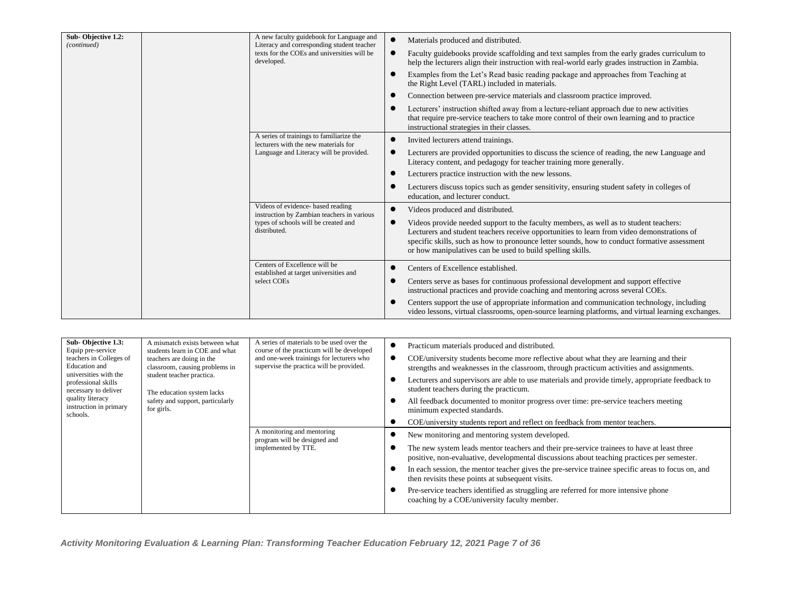| Sub-Objective 1.2:<br>(continued) | A new faculty guidebook for Language and<br>Literacy and corresponding student teacher | Materials produced and distributed.                                                                                                                                                                                                                                                                                                               |  |  |  |
|-----------------------------------|----------------------------------------------------------------------------------------|---------------------------------------------------------------------------------------------------------------------------------------------------------------------------------------------------------------------------------------------------------------------------------------------------------------------------------------------------|--|--|--|
|                                   | texts for the COEs and universities will be<br>developed.                              | Faculty guidebooks provide scaffolding and text samples from the early grades curriculum to<br>help the lecturers align their instruction with real-world early grades instruction in Zambia.                                                                                                                                                     |  |  |  |
|                                   |                                                                                        | Examples from the Let's Read basic reading package and approaches from Teaching at<br>the Right Level (TARL) included in materials.                                                                                                                                                                                                               |  |  |  |
|                                   |                                                                                        | Connection between pre-service materials and classroom practice improved.                                                                                                                                                                                                                                                                         |  |  |  |
|                                   |                                                                                        | Lecturers' instruction shifted away from a lecture-reliant approach due to new activities<br>that require pre-service teachers to take more control of their own learning and to practice<br>instructional strategies in their classes.                                                                                                           |  |  |  |
|                                   | A series of trainings to familiarize the<br>lecturers with the new materials for       | Invited lecturers attend trainings.                                                                                                                                                                                                                                                                                                               |  |  |  |
|                                   | Language and Literacy will be provided.                                                | Lecturers are provided opportunities to discuss the science of reading, the new Language and<br>Literacy content, and pedagogy for teacher training more generally.                                                                                                                                                                               |  |  |  |
|                                   |                                                                                        | Lecturers practice instruction with the new lessons.                                                                                                                                                                                                                                                                                              |  |  |  |
|                                   |                                                                                        | Lecturers discuss topics such as gender sensitivity, ensuring student safety in colleges of<br>education, and lecturer conduct.                                                                                                                                                                                                                   |  |  |  |
|                                   | Videos of evidence- based reading<br>instruction by Zambian teachers in various        | Videos produced and distributed.                                                                                                                                                                                                                                                                                                                  |  |  |  |
|                                   | types of schools will be created and<br>distributed.                                   | Videos provide needed support to the faculty members, as well as to student teachers:<br>Lecturers and student teachers receive opportunities to learn from video demonstrations of<br>specific skills, such as how to pronounce letter sounds, how to conduct formative assessment<br>or how manipulatives can be used to build spelling skills. |  |  |  |
|                                   | Centers of Excellence will be<br>established at target universities and                | Centers of Excellence established.                                                                                                                                                                                                                                                                                                                |  |  |  |
|                                   | select COEs                                                                            | Centers serve as bases for continuous professional development and support effective<br>instructional practices and provide coaching and mentoring across several COEs.                                                                                                                                                                           |  |  |  |
|                                   |                                                                                        | Centers support the use of appropriate information and communication technology, including<br>video lessons, virtual classrooms, open-source learning platforms, and virtual learning exchanges.                                                                                                                                                  |  |  |  |

| Sub-Objective 1.3:<br>Equip pre-service<br>teachers in Colleges of<br>Education and<br>universities with the<br>professional skills<br>necessary to deliver<br>quality literacy<br>instruction in primary<br>schools. | A mismatch exists between what<br>students learn in COE and what<br>teachers are doing in the<br>classroom, causing problems in<br>student teacher practica.<br>The education system lacks<br>safety and support, particularly<br>for girls. | A series of materials to be used over the<br>course of the practicum will be developed<br>and one-week trainings for lecturers who<br>supervise the practica will be provided. |  | Practicum materials produced and distributed.<br>COE/university students become more reflective about what they are learning and their<br>strengths and weaknesses in the classroom, through practicum activities and assignments.<br>Lecturers and supervisors are able to use materials and provide timely, appropriate feedback to<br>student teachers during the practicum.<br>All feedback documented to monitor progress over time: pre-service teachers meeting<br>minimum expected standards.<br>COE/university students report and reflect on feedback from mentor teachers. |  |  |  |  |
|-----------------------------------------------------------------------------------------------------------------------------------------------------------------------------------------------------------------------|----------------------------------------------------------------------------------------------------------------------------------------------------------------------------------------------------------------------------------------------|--------------------------------------------------------------------------------------------------------------------------------------------------------------------------------|--|---------------------------------------------------------------------------------------------------------------------------------------------------------------------------------------------------------------------------------------------------------------------------------------------------------------------------------------------------------------------------------------------------------------------------------------------------------------------------------------------------------------------------------------------------------------------------------------|--|--|--|--|
|                                                                                                                                                                                                                       |                                                                                                                                                                                                                                              | A monitoring and mentoring<br>program will be designed and<br>implemented by TTE.                                                                                              |  | New monitoring and mentoring system developed.<br>The new system leads mentor teachers and their pre-service trainees to have at least three<br>positive, non-evaluative, developmental discussions about teaching practices per semester.<br>In each session, the mentor teacher gives the pre-service trainee specific areas to focus on, and<br>then revisits these points at subsequent visits.<br>Pre-service teachers identified as struggling are referred for more intensive phone<br>coaching by a COE/university faculty member.                                            |  |  |  |  |

 *Activity Monitoring Evaluation & Learning Plan: Transforming Teacher Education February 12, 2021 Page 7 of 36*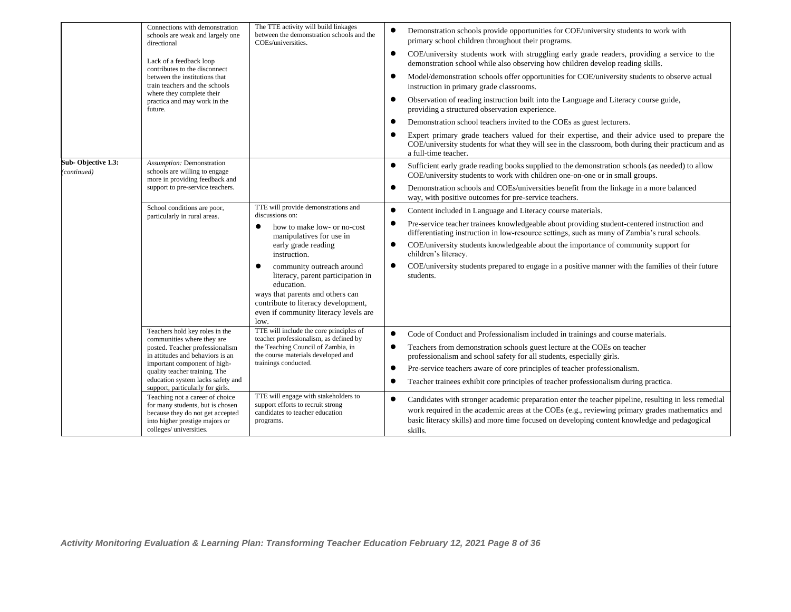|                                   | Connections with demonstration<br>schools are weak and largely one<br>directional                                                                                    | The TTE activity will build linkages<br>between the demonstration schools and the<br>COEs/universities.                                                                                                  | $\bullet$ | Demonstration schools provide opportunities for COE/university students to work with<br>primary school children throughout their programs.                                                                                                                                                                         |
|-----------------------------------|----------------------------------------------------------------------------------------------------------------------------------------------------------------------|----------------------------------------------------------------------------------------------------------------------------------------------------------------------------------------------------------|-----------|--------------------------------------------------------------------------------------------------------------------------------------------------------------------------------------------------------------------------------------------------------------------------------------------------------------------|
|                                   | Lack of a feedback loop<br>contributes to the disconnect                                                                                                             |                                                                                                                                                                                                          | $\bullet$ | COE/university students work with struggling early grade readers, providing a service to the<br>demonstration school while also observing how children develop reading skills.                                                                                                                                     |
|                                   | between the institutions that<br>train teachers and the schools<br>where they complete their                                                                         |                                                                                                                                                                                                          |           | Model/demonstration schools offer opportunities for COE/university students to observe actual<br>instruction in primary grade classrooms.                                                                                                                                                                          |
|                                   | practica and may work in the<br>future.                                                                                                                              |                                                                                                                                                                                                          | $\bullet$ | Observation of reading instruction built into the Language and Literacy course guide,<br>providing a structured observation experience.                                                                                                                                                                            |
|                                   |                                                                                                                                                                      |                                                                                                                                                                                                          | $\bullet$ | Demonstration school teachers invited to the COEs as guest lecturers.                                                                                                                                                                                                                                              |
|                                   |                                                                                                                                                                      |                                                                                                                                                                                                          |           | Expert primary grade teachers valued for their expertise, and their advice used to prepare the<br>COE/university students for what they will see in the classroom, both during their practicum and as<br>a full-time teacher.                                                                                      |
| Sub-Objective 1.3:<br>(continued) | Assumption: Demonstration<br>schools are willing to engage<br>more in providing feedback and                                                                         |                                                                                                                                                                                                          |           | Sufficient early grade reading books supplied to the demonstration schools (as needed) to allow<br>COE/university students to work with children one-on-one or in small groups.                                                                                                                                    |
|                                   | support to pre-service teachers.                                                                                                                                     |                                                                                                                                                                                                          | $\bullet$ | Demonstration schools and COEs/universities benefit from the linkage in a more balanced<br>way, with positive outcomes for pre-service teachers.                                                                                                                                                                   |
|                                   | School conditions are poor,<br>particularly in rural areas.                                                                                                          | TTE will provide demonstrations and<br>discussions on:                                                                                                                                                   | $\bullet$ | Content included in Language and Literacy course materials.                                                                                                                                                                                                                                                        |
|                                   |                                                                                                                                                                      | how to make low- or no-cost<br>manipulatives for use in<br>early grade reading<br>instruction.                                                                                                           |           | Pre-service teacher trainees knowledgeable about providing student-centered instruction and<br>differentiating instruction in low-resource settings, such as many of Zambia's rural schools.                                                                                                                       |
|                                   |                                                                                                                                                                      |                                                                                                                                                                                                          | $\bullet$ | COE/university students knowledgeable about the importance of community support for<br>children's literacy.                                                                                                                                                                                                        |
|                                   |                                                                                                                                                                      | community outreach around<br>literacy, parent participation in<br>education.<br>ways that parents and others can<br>contribute to literacy development,<br>even if community literacy levels are<br>low. |           | COE/university students prepared to engage in a positive manner with the families of their future<br>students.                                                                                                                                                                                                     |
|                                   | Teachers hold key roles in the<br>communities where they are                                                                                                         | TTE will include the core principles of<br>teacher professionalism, as defined by                                                                                                                        | $\bullet$ | Code of Conduct and Professionalism included in trainings and course materials.                                                                                                                                                                                                                                    |
|                                   | posted. Teacher professionalism<br>in attitudes and behaviors is an                                                                                                  | the Teaching Council of Zambia, in<br>the course materials developed and                                                                                                                                 | ٠         | Teachers from demonstration schools guest lecture at the COEs on teacher<br>professionalism and school safety for all students, especially girls.                                                                                                                                                                  |
|                                   | important component of high-<br>quality teacher training. The                                                                                                        | trainings conducted.                                                                                                                                                                                     | $\bullet$ | Pre-service teachers aware of core principles of teacher professionalism.                                                                                                                                                                                                                                          |
|                                   | education system lacks safety and<br>support, particularly for girls.                                                                                                |                                                                                                                                                                                                          |           | Teacher trainees exhibit core principles of teacher professionalism during practica.                                                                                                                                                                                                                               |
|                                   | Teaching not a career of choice<br>for many students, but is chosen<br>because they do not get accepted<br>into higher prestige majors or<br>colleges/ universities. | TTE will engage with stakeholders to<br>support efforts to recruit strong<br>candidates to teacher education<br>programs.                                                                                |           | Candidates with stronger academic preparation enter the teacher pipeline, resulting in less remedial<br>work required in the academic areas at the COEs (e.g., reviewing primary grades mathematics and<br>basic literacy skills) and more time focused on developing content knowledge and pedagogical<br>skills. |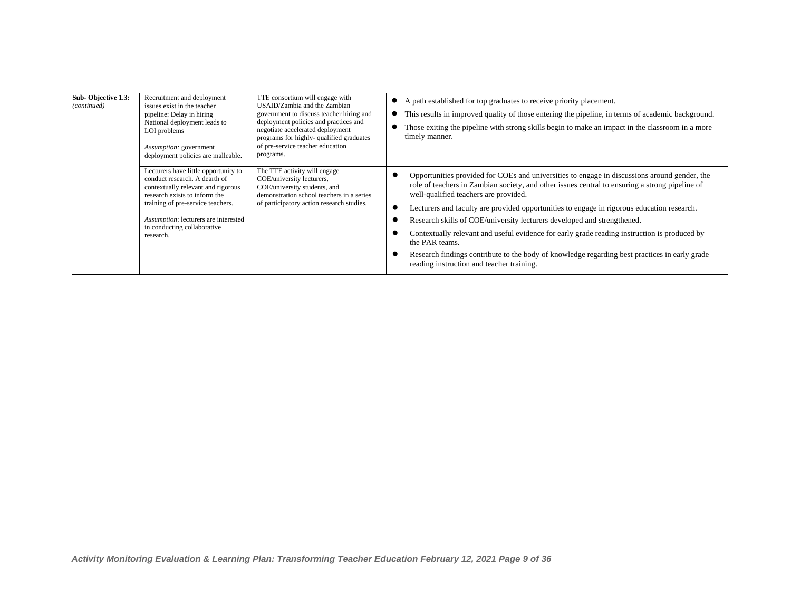| Sub-Objective 1.3:<br>(continued) | Recruitment and deployment<br>issues exist in the teacher<br>pipeline: Delay in hiring<br>National deployment leads to<br>LOI problems<br>Assumption: government<br>deployment policies are malleable.                                                                | TTE consortium will engage with<br>USAID/Zambia and the Zambian<br>government to discuss teacher hiring and<br>deployment policies and practices and<br>negotiate accelerated deployment<br>programs for highly-qualified graduates<br>of pre-service teacher education<br>programs. | • A path established for top graduates to receive priority placement.<br>This results in improved quality of those entering the pipeline, in terms of academic background.<br>Those exiting the pipeline with strong skills begin to make an impact in the classroom in a more<br>timely manner.                                                                                                                                                                                                                                                                                                                                                                                 |  |  |  |  |  |
|-----------------------------------|-----------------------------------------------------------------------------------------------------------------------------------------------------------------------------------------------------------------------------------------------------------------------|--------------------------------------------------------------------------------------------------------------------------------------------------------------------------------------------------------------------------------------------------------------------------------------|----------------------------------------------------------------------------------------------------------------------------------------------------------------------------------------------------------------------------------------------------------------------------------------------------------------------------------------------------------------------------------------------------------------------------------------------------------------------------------------------------------------------------------------------------------------------------------------------------------------------------------------------------------------------------------|--|--|--|--|--|
|                                   | Lecturers have little opportunity to<br>conduct research. A dearth of<br>contextually relevant and rigorous<br>research exists to inform the<br>training of pre-service teachers.<br>Assumption: lecturers are interested<br>in conducting collaborative<br>research. | The TTE activity will engage<br>COE/university lecturers,<br>COE/university students, and<br>demonstration school teachers in a series<br>of participatory action research studies.                                                                                                  | Opportunities provided for COEs and universities to engage in discussions around gender, the<br>role of teachers in Zambian society, and other issues central to ensuring a strong pipeline of<br>well-qualified teachers are provided.<br>Lecturers and faculty are provided opportunities to engage in rigorous education research.<br>Research skills of COE/university lecturers developed and strengthened.<br>Contextually relevant and useful evidence for early grade reading instruction is produced by<br>the PAR teams.<br>Research findings contribute to the body of knowledge regarding best practices in early grade<br>reading instruction and teacher training. |  |  |  |  |  |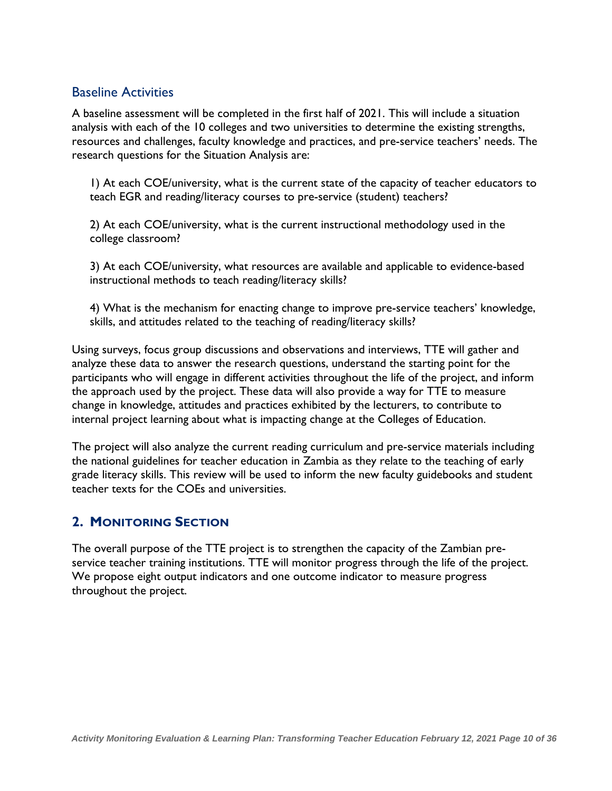#### Baseline Activities

A baseline assessment will be completed in the first half of 2021. This will include a situation analysis with each of the 10 colleges and two universities to determine the existing strengths, resources and challenges, faculty knowledge and practices, and pre-service teachers' needs. The research questions for the Situation Analysis are:

1) At each COE/university, what is the current state of the capacity of teacher educators to teach EGR and reading/literacy courses to pre-service (student) teachers?

2) At each COE/university, what is the current instructional methodology used in the college classroom?

3) At each COE/university, what resources are available and applicable to evidence-based instructional methods to teach reading/literacy skills?

4) What is the mechanism for enacting change to improve pre-service teachers' knowledge, skills, and attitudes related to the teaching of reading/literacy skills?

Using surveys, focus group discussions and observations and interviews, TTE will gather and analyze these data to answer the research questions, understand the starting point for the participants who will engage in different activities throughout the life of the project, and inform the approach used by the project. These data will also provide a way for TTE to measure change in knowledge, attitudes and practices exhibited by the lecturers, to contribute to internal project learning about what is impacting change at the Colleges of Education.

The project will also analyze the current reading curriculum and pre-service materials including the national guidelines for teacher education in Zambia as they relate to the teaching of early grade literacy skills. This review will be used to inform the new faculty guidebooks and student teacher texts for the COEs and universities.

#### <span id="page-10-0"></span>**2. MONITORING SECTION**

The overall purpose of the TTE project is to strengthen the capacity of the Zambian preservice teacher training institutions. TTE will monitor progress through the life of the project. We propose eight output indicators and one outcome indicator to measure progress throughout the project.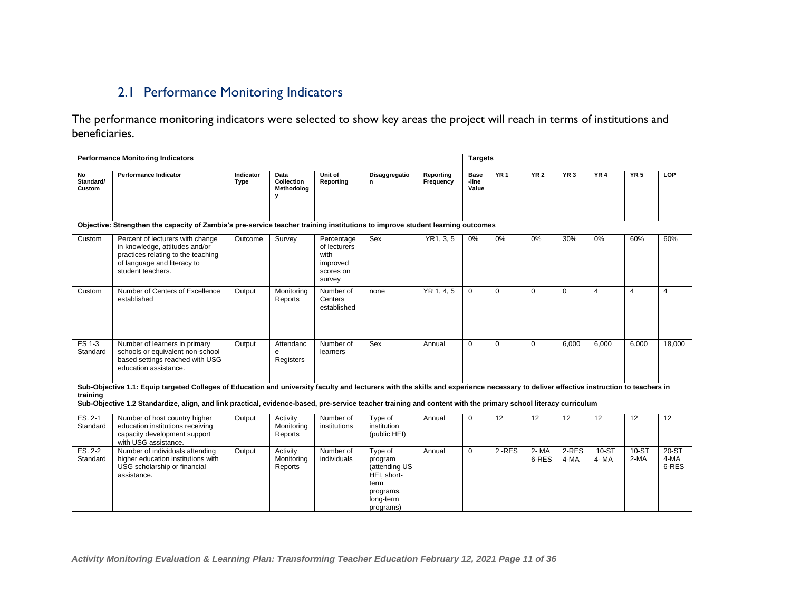### 2.1 Performance Monitoring Indicators

The performance monitoring indicators were selected to show key areas the project will reach in terms of institutions and beneficiaries.

<span id="page-11-0"></span>

|                           | <b>Performance Monitoring Indicators</b>                                                                                                                                                                                                                                                                                                                |                   |                                       |                                                                       |                                                                                                   |                        | <b>Targets</b>                |           |                 |                 |                  |                             |                          |
|---------------------------|---------------------------------------------------------------------------------------------------------------------------------------------------------------------------------------------------------------------------------------------------------------------------------------------------------------------------------------------------------|-------------------|---------------------------------------|-----------------------------------------------------------------------|---------------------------------------------------------------------------------------------------|------------------------|-------------------------------|-----------|-----------------|-----------------|------------------|-----------------------------|--------------------------|
| No<br>Standard/<br>Custom | <b>Performance Indicator</b>                                                                                                                                                                                                                                                                                                                            | Indicator<br>Type | Data<br>Collection<br>Methodolog<br>У | Unit of<br>Reporting                                                  | <b>Disaggregatio</b><br>n.                                                                        | Reporting<br>Frequency | <b>Base</b><br>-line<br>Value | YR1       | <b>YR 2</b>     | YR3             | YR4              | YR5                         | <b>LOP</b>               |
|                           | Objective: Strengthen the capacity of Zambia's pre-service teacher training institutions to improve student learning outcomes                                                                                                                                                                                                                           |                   |                                       |                                                                       |                                                                                                   |                        |                               |           |                 |                 |                  |                             |                          |
| Custom                    | Percent of lecturers with change<br>in knowledge, attitudes and/or<br>practices relating to the teaching<br>of language and literacy to<br>student teachers.                                                                                                                                                                                            | Outcome           | Survev                                | Percentage<br>of lecturers<br>with<br>improved<br>scores on<br>survey | Sex                                                                                               | YR1, 3, 5              | 0%                            | 0%        | 0%              | 30%             | 0%               | 60%                         | 60%                      |
| Custom                    | Number of Centers of Excellence<br>established                                                                                                                                                                                                                                                                                                          | Output            | Monitoring<br>Reports                 | Number of<br>Centers<br>established                                   | none                                                                                              | YR 1, 4, 5             | $\mathbf 0$                   | $\Omega$  | $\mathbf 0$     | $\mathbf 0$     | $\overline{4}$   | $\overline{4}$              | $\overline{4}$           |
| ES 1-3<br>Standard        | Number of learners in primary<br>schools or equivalent non-school<br>based settings reached with USG<br>education assistance.                                                                                                                                                                                                                           | Output            | Attendanc<br>e<br>Registers           | Number of<br>learners                                                 | Sex                                                                                               | Annual                 | $\Omega$                      | $\Omega$  | $\Omega$        | 6,000           | 6,000            | 6,000                       | 18.000                   |
| training                  | Sub-Objective 1.1: Equip targeted Colleges of Education and university faculty and lecturers with the skills and experience necessary to deliver effective instruction to teachers in<br>Sub-Objective 1.2 Standardize, align, and link practical, evidence-based, pre-service teacher training and content with the primary school literacy curriculum |                   |                                       |                                                                       |                                                                                                   |                        |                               |           |                 |                 |                  |                             |                          |
| $ES. 2-1$<br>Standard     | Number of host country higher<br>education institutions receiving<br>capacity development support<br>with USG assistance.                                                                                                                                                                                                                               | Output            | Activity<br>Monitoring<br>Reports     | Number of<br>institutions                                             | Type of<br>institution<br>(public HEI)                                                            | Annual                 | $\Omega$                      | 12        | $\overline{12}$ | $\overline{12}$ | $\overline{12}$  | $\overline{12}$             | $\overline{12}$          |
| $ES. 2-2$<br>Standard     | Number of individuals attending<br>higher education institutions with<br>USG scholarship or financial<br>assistance.                                                                                                                                                                                                                                    | Output            | Activity<br>Monitoring<br>Reports     | Number of<br>individuals                                              | Type of<br>program<br>(attending US<br>HEI, short-<br>term<br>programs,<br>long-term<br>programs) | Annual                 | $\mathbf 0$                   | $2 - RES$ | 2- MA<br>6-RES  | $2-RES$<br>4-MA | $10-ST$<br>4- MA | $\overline{10}$ -ST<br>2-MA | $20-ST$<br>4-MA<br>6-RES |

 *Activity Monitoring Evaluation & Learning Plan: Transforming Teacher Education February 12, 2021 Page 11 of 36*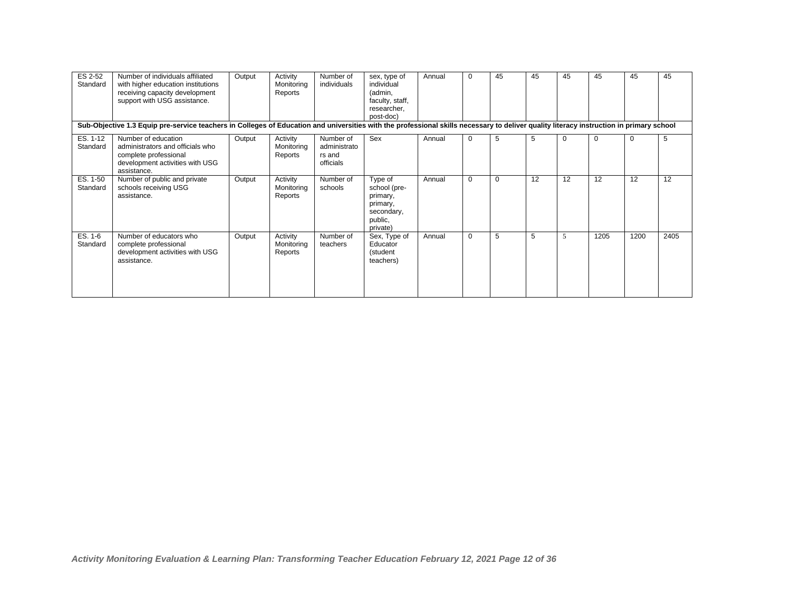| ES 2-52<br>Standard  | Number of individuals affiliated<br>with higher education institutions<br>receiving capacity development<br>support with USG assistance.<br>Sub-Objective 1.3 Equip pre-service teachers in Colleges of Education and universities with the professional skills necessary to deliver quality literacy instruction in primary school | Output | Activity<br>Monitoring<br>Reports | Number of<br>individuals                         | sex, type of<br>individual<br>(admin,<br>faculty, staff,<br>researcher.<br>post-doc) | Annual | $\mathbf 0$ | 45 | 45 | 45 | 45          | 45       | 45   |
|----------------------|-------------------------------------------------------------------------------------------------------------------------------------------------------------------------------------------------------------------------------------------------------------------------------------------------------------------------------------|--------|-----------------------------------|--------------------------------------------------|--------------------------------------------------------------------------------------|--------|-------------|----|----|----|-------------|----------|------|
| ES. 1-12<br>Standard | Number of education<br>administrators and officials who<br>complete professional<br>development activities with USG<br>assistance.                                                                                                                                                                                                  | Output | Activity<br>Monitoring<br>Reports | Number of<br>administrato<br>rs and<br>officials | Sex                                                                                  | Annual | $\mathbf 0$ | 5  | 5  | 0  | $\mathbf 0$ | $\Omega$ | 5    |
| ES. 1-50<br>Standard | Number of public and private<br>schools receiving USG<br>assistance.                                                                                                                                                                                                                                                                | Output | Activity<br>Monitoring<br>Reports | Number of<br>schools                             | Type of<br>school (pre-<br>primary,<br>primary,<br>secondary,<br>public,<br>private) | Annual | $\mathbf 0$ | 0  | 12 | 12 | 12          | 12       | 12   |
| ES. 1-6<br>Standard  | Number of educators who<br>complete professional<br>development activities with USG<br>assistance.                                                                                                                                                                                                                                  | Output | Activity<br>Monitoring<br>Reports | Number of<br>teachers                            | Sex, Type of<br>Educator<br>(student<br>teachers)                                    | Annual | 0           | 5  | 5  | 5  | 1205        | 1200     | 2405 |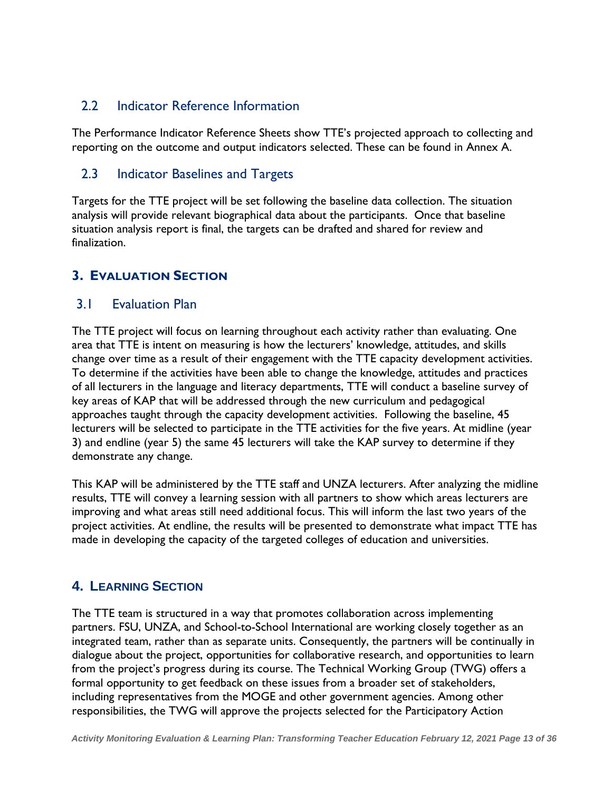#### <span id="page-13-0"></span>2.2 Indicator Reference Information

The Performance Indicator Reference Sheets show TTE's projected approach to collecting and reporting on the outcome and output indicators selected. These can be found in Annex A.

#### <span id="page-13-1"></span>2.3 Indicator Baselines and Targets

Targets for the TTE project will be set following the baseline data collection. The situation analysis will provide relevant biographical data about the participants. Once that baseline situation analysis report is final, the targets can be drafted and shared for review and finalization.

#### <span id="page-13-2"></span>**3. EVALUATION SECTION**

#### <span id="page-13-3"></span>3.1 Evaluation Plan

The TTE project will focus on learning throughout each activity rather than evaluating. One area that TTE is intent on measuring is how the lecturers' knowledge, attitudes, and skills change over time as a result of their engagement with the TTE capacity development activities. To determine if the activities have been able to change the knowledge, attitudes and practices of all lecturers in the language and literacy departments, TTE will conduct a baseline survey of key areas of KAP that will be addressed through the new curriculum and pedagogical approaches taught through the capacity development activities. Following the baseline, 45 lecturers will be selected to participate in the TTE activities for the five years. At midline (year 3) and endline (year 5) the same 45 lecturers will take the KAP survey to determine if they demonstrate any change.

This KAP will be administered by the TTE staff and UNZA lecturers. After analyzing the midline results, TTE will convey a learning session with all partners to show which areas lecturers are improving and what areas still need additional focus. This will inform the last two years of the project activities. At endline, the results will be presented to demonstrate what impact TTE has made in developing the capacity of the targeted colleges of education and universities.

#### <span id="page-13-4"></span>**4. LEARNING SECTION**

The TTE team is structured in a way that promotes collaboration across implementing partners. FSU, UNZA, and School-to-School International are working closely together as an integrated team, rather than as separate units. Consequently, the partners will be continually in dialogue about the project, opportunities for collaborative research, and opportunities to learn from the project's progress during its course. The Technical Working Group (TWG) offers a formal opportunity to get feedback on these issues from a broader set of stakeholders, including representatives from the MOGE and other government agencies. Among other responsibilities, the TWG will approve the projects selected for the Participatory Action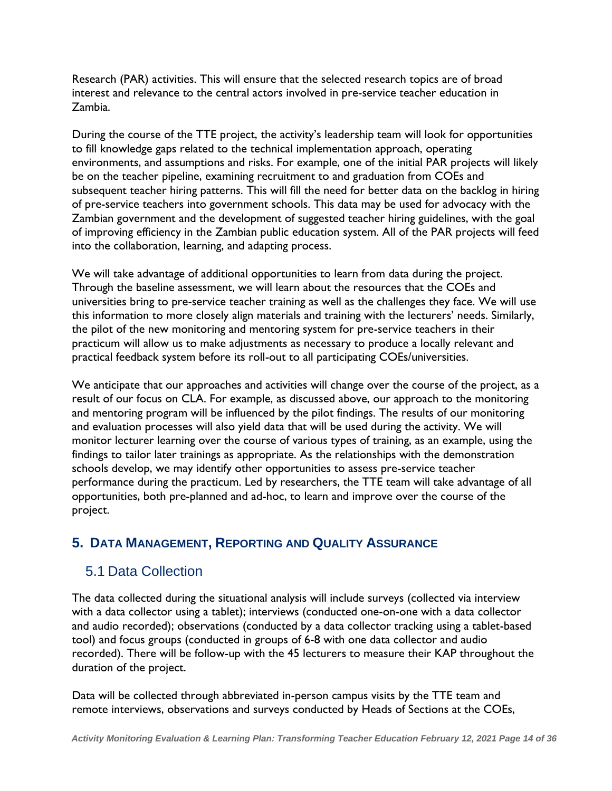Research (PAR) activities. This will ensure that the selected research topics are of broad interest and relevance to the central actors involved in pre-service teacher education in Zambia.

During the course of the TTE project, the activity's leadership team will look for opportunities to fill knowledge gaps related to the technical implementation approach, operating environments, and assumptions and risks. For example, one of the initial PAR projects will likely be on the teacher pipeline, examining recruitment to and graduation from COEs and subsequent teacher hiring patterns. This will fill the need for better data on the backlog in hiring of pre-service teachers into government schools. This data may be used for advocacy with the Zambian government and the development of suggested teacher hiring guidelines, with the goal of improving efficiency in the Zambian public education system. All of the PAR projects will feed into the collaboration, learning, and adapting process.

We will take advantage of additional opportunities to learn from data during the project. Through the baseline assessment, we will learn about the resources that the COEs and universities bring to pre-service teacher training as well as the challenges they face. We will use this information to more closely align materials and training with the lecturers' needs. Similarly, the pilot of the new monitoring and mentoring system for pre-service teachers in their practicum will allow us to make adjustments as necessary to produce a locally relevant and practical feedback system before its roll-out to all participating COEs/universities.

We anticipate that our approaches and activities will change over the course of the project, as a result of our focus on CLA. For example, as discussed above, our approach to the monitoring and mentoring program will be influenced by the pilot findings. The results of our monitoring and evaluation processes will also yield data that will be used during the activity. We will monitor lecturer learning over the course of various types of training, as an example, using the findings to tailor later trainings as appropriate. As the relationships with the demonstration schools develop, we may identify other opportunities to assess pre-service teacher performance during the practicum. Led by researchers, the TTE team will take advantage of all opportunities, both pre-planned and ad-hoc, to learn and improve over the course of the project.

#### <span id="page-14-0"></span>**5. DATA MANAGEMENT, REPORTING AND QUALITY ASSURANCE**

#### <span id="page-14-1"></span>5.1 Data Collection

The data collected during the situational analysis will include surveys (collected via interview with a data collector using a tablet); interviews (conducted one-on-one with a data collector and audio recorded); observations (conducted by a data collector tracking using a tablet-based tool) and focus groups (conducted in groups of 6-8 with one data collector and audio recorded). There will be follow-up with the 45 lecturers to measure their KAP throughout the duration of the project.

Data will be collected through abbreviated in-person campus visits by the TTE team and remote interviews, observations and surveys conducted by Heads of Sections at the COEs,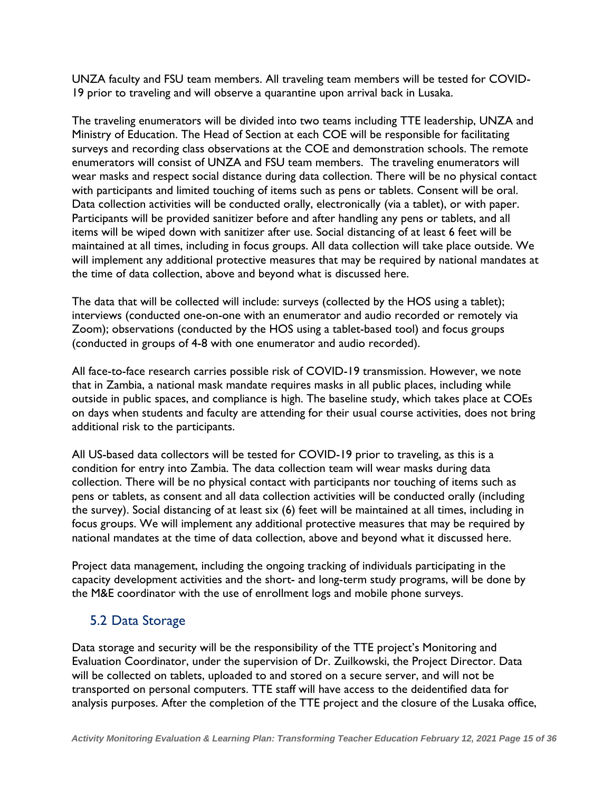UNZA faculty and FSU team members. All traveling team members will be tested for COVID-19 prior to traveling and will observe a quarantine upon arrival back in Lusaka.

The traveling enumerators will be divided into two teams including TTE leadership, UNZA and Ministry of Education. The Head of Section at each COE will be responsible for facilitating surveys and recording class observations at the COE and demonstration schools. The remote enumerators will consist of UNZA and FSU team members. The traveling enumerators will wear masks and respect social distance during data collection. There will be no physical contact with participants and limited touching of items such as pens or tablets. Consent will be oral. Data collection activities will be conducted orally, electronically (via a tablet), or with paper. Participants will be provided sanitizer before and after handling any pens or tablets, and all items will be wiped down with sanitizer after use. Social distancing of at least 6 feet will be maintained at all times, including in focus groups. All data collection will take place outside. We will implement any additional protective measures that may be required by national mandates at the time of data collection, above and beyond what is discussed here.

The data that will be collected will include: surveys (collected by the HOS using a tablet); interviews (conducted one-on-one with an enumerator and audio recorded or remotely via Zoom); observations (conducted by the HOS using a tablet-based tool) and focus groups (conducted in groups of 4-8 with one enumerator and audio recorded).

All face-to-face research carries possible risk of COVID-19 transmission. However, we note that in Zambia, a national mask mandate requires masks in all public places, including while outside in public spaces, and compliance is high. The baseline study, which takes place at COEs on days when students and faculty are attending for their usual course activities, does not bring additional risk to the participants.

All US-based data collectors will be tested for COVID-19 prior to traveling, as this is a condition for entry into Zambia. The data collection team will wear masks during data collection. There will be no physical contact with participants nor touching of items such as pens or tablets, as consent and all data collection activities will be conducted orally (including the survey). Social distancing of at least six (6) feet will be maintained at all times, including in focus groups. We will implement any additional protective measures that may be required by national mandates at the time of data collection, above and beyond what it discussed here.

Project data management, including the ongoing tracking of individuals participating in the capacity development activities and the short- and long-term study programs, will be done by the M&E coordinator with the use of enrollment logs and mobile phone surveys.

#### <span id="page-15-0"></span>5.2 Data Storage

Data storage and security will be the responsibility of the TTE project's Monitoring and Evaluation Coordinator, under the supervision of Dr. Zuilkowski, the Project Director. Data will be collected on tablets, uploaded to and stored on a secure server, and will not be transported on personal computers. TTE staff will have access to the deidentified data for analysis purposes. After the completion of the TTE project and the closure of the Lusaka office,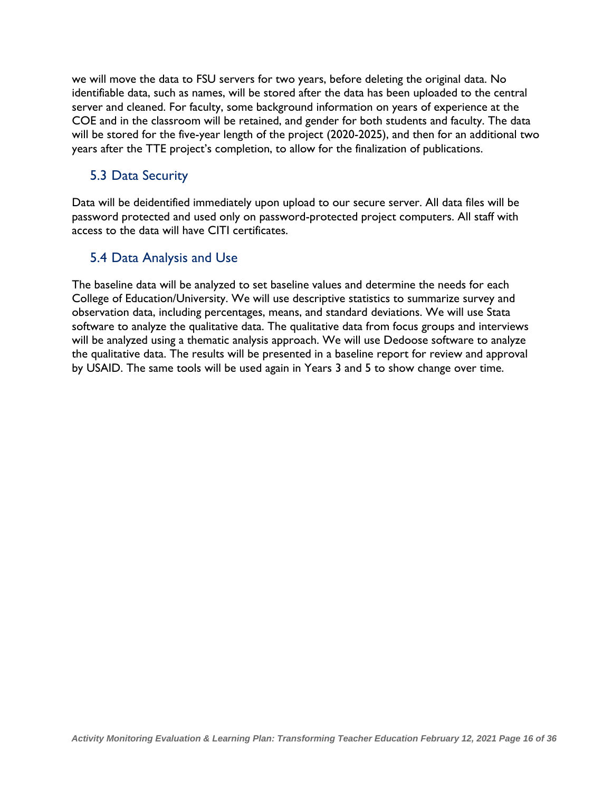we will move the data to FSU servers for two years, before deleting the original data. No identifiable data, such as names, will be stored after the data has been uploaded to the central server and cleaned. For faculty, some background information on years of experience at the COE and in the classroom will be retained, and gender for both students and faculty. The data will be stored for the five-year length of the project (2020-2025), and then for an additional two years after the TTE project's completion, to allow for the finalization of publications.

#### <span id="page-16-0"></span>5.3 Data Security

Data will be deidentified immediately upon upload to our secure server. All data files will be password protected and used only on password-protected project computers. All staff with access to the data will have CITI certificates.

#### <span id="page-16-1"></span>5.4 Data Analysis and Use

The baseline data will be analyzed to set baseline values and determine the needs for each College of Education/University. We will use descriptive statistics to summarize survey and observation data, including percentages, means, and standard deviations. We will use Stata software to analyze the qualitative data. The qualitative data from focus groups and interviews will be analyzed using a thematic analysis approach. We will use Dedoose software to analyze the qualitative data. The results will be presented in a baseline report for review and approval by USAID. The same tools will be used again in Years 3 and 5 to show change over time.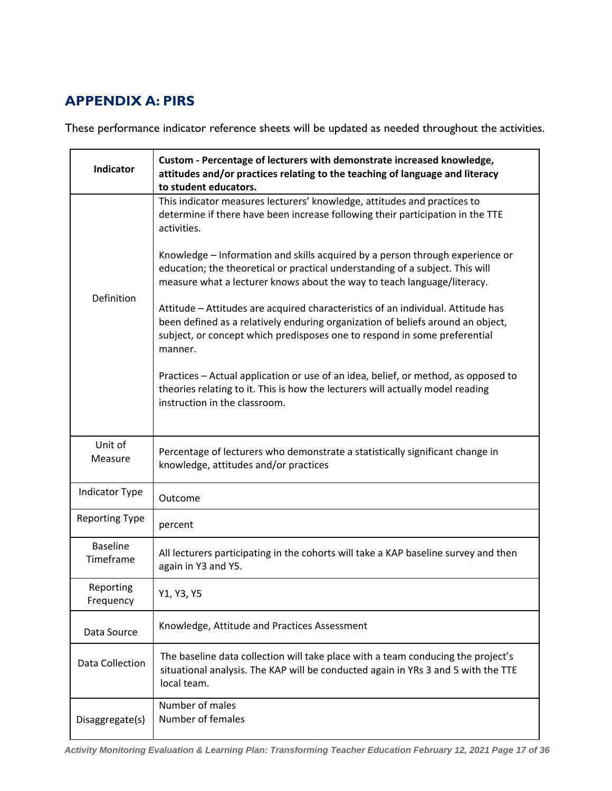# <span id="page-17-0"></span>**APPENDIX A: PIRS**

These performance indicator reference sheets will be updated as needed throughout the activities.

| <b>Indicator</b>             | Custom - Percentage of lecturers with demonstrate increased knowledge,<br>attitudes and/or practices relating to the teaching of language and literacy<br>to student educators.                                                                             |
|------------------------------|-------------------------------------------------------------------------------------------------------------------------------------------------------------------------------------------------------------------------------------------------------------|
|                              | This indicator measures lecturers' knowledge, attitudes and practices to<br>determine if there have been increase following their participation in the TTE<br>activities.                                                                                   |
|                              | Knowledge - Information and skills acquired by a person through experience or<br>education; the theoretical or practical understanding of a subject. This will<br>measure what a lecturer knows about the way to teach language/literacy.                   |
| Definition                   | Attitude - Attitudes are acquired characteristics of an individual. Attitude has<br>been defined as a relatively enduring organization of beliefs around an object,<br>subject, or concept which predisposes one to respond in some preferential<br>manner. |
|                              | Practices - Actual application or use of an idea, belief, or method, as opposed to<br>theories relating to it. This is how the lecturers will actually model reading<br>instruction in the classroom.                                                       |
| Unit of<br>Measure           | Percentage of lecturers who demonstrate a statistically significant change in<br>knowledge, attitudes and/or practices                                                                                                                                      |
| Indicator Type               | Outcome                                                                                                                                                                                                                                                     |
| <b>Reporting Type</b>        | percent                                                                                                                                                                                                                                                     |
| <b>Baseline</b><br>Timeframe | All lecturers participating in the cohorts will take a KAP baseline survey and then<br>again in Y3 and Y5.                                                                                                                                                  |
| Reporting<br>Frequency       | Y1, Y3, Y5                                                                                                                                                                                                                                                  |
| Data Source                  | Knowledge, Attitude and Practices Assessment                                                                                                                                                                                                                |
| Data Collection              | The baseline data collection will take place with a team conducing the project's<br>situational analysis. The KAP will be conducted again in YRs 3 and 5 with the TTE<br>local team.                                                                        |
| Disaggregate(s)              | Number of males<br>Number of females                                                                                                                                                                                                                        |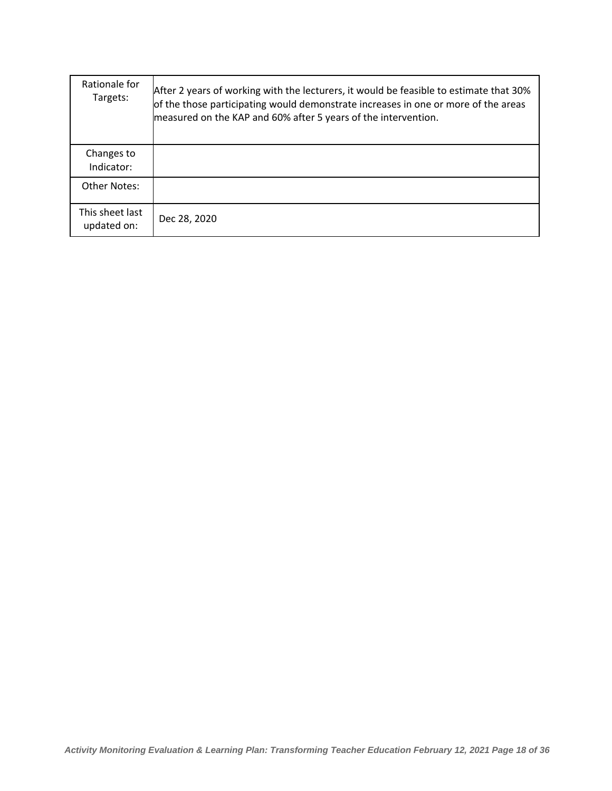| Rationale for<br>Targets:      | After 2 years of working with the lecturers, it would be feasible to estimate that 30%<br>of the those participating would demonstrate increases in one or more of the areas<br>measured on the KAP and 60% after 5 years of the intervention. |
|--------------------------------|------------------------------------------------------------------------------------------------------------------------------------------------------------------------------------------------------------------------------------------------|
| Changes to<br>Indicator:       |                                                                                                                                                                                                                                                |
| <b>Other Notes:</b>            |                                                                                                                                                                                                                                                |
| This sheet last<br>updated on: | Dec 28, 2020                                                                                                                                                                                                                                   |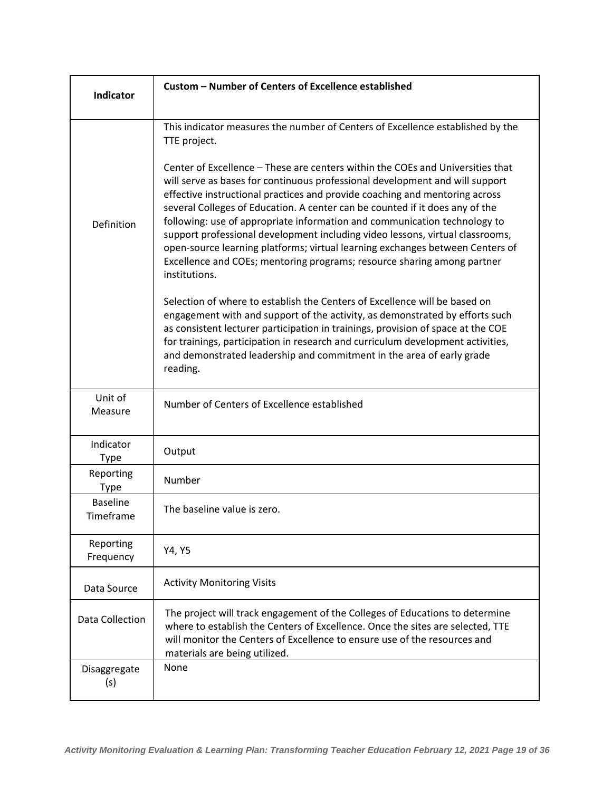| Indicator                    | Custom - Number of Centers of Excellence established                                                                                                                                                                                                                                                                                                                                                                                                                                                                                                                                                                                                                     |
|------------------------------|--------------------------------------------------------------------------------------------------------------------------------------------------------------------------------------------------------------------------------------------------------------------------------------------------------------------------------------------------------------------------------------------------------------------------------------------------------------------------------------------------------------------------------------------------------------------------------------------------------------------------------------------------------------------------|
|                              |                                                                                                                                                                                                                                                                                                                                                                                                                                                                                                                                                                                                                                                                          |
|                              | This indicator measures the number of Centers of Excellence established by the<br>TTE project.                                                                                                                                                                                                                                                                                                                                                                                                                                                                                                                                                                           |
| Definition                   | Center of Excellence - These are centers within the COEs and Universities that<br>will serve as bases for continuous professional development and will support<br>effective instructional practices and provide coaching and mentoring across<br>several Colleges of Education. A center can be counted if it does any of the<br>following: use of appropriate information and communication technology to<br>support professional development including video lessons, virtual classrooms,<br>open-source learning platforms; virtual learning exchanges between Centers of<br>Excellence and COEs; mentoring programs; resource sharing among partner<br>institutions. |
|                              | Selection of where to establish the Centers of Excellence will be based on<br>engagement with and support of the activity, as demonstrated by efforts such<br>as consistent lecturer participation in trainings, provision of space at the COE<br>for trainings, participation in research and curriculum development activities,<br>and demonstrated leadership and commitment in the area of early grade<br>reading.                                                                                                                                                                                                                                                   |
| Unit of<br>Measure           | Number of Centers of Excellence established                                                                                                                                                                                                                                                                                                                                                                                                                                                                                                                                                                                                                              |
| Indicator<br><b>Type</b>     | Output                                                                                                                                                                                                                                                                                                                                                                                                                                                                                                                                                                                                                                                                   |
| Reporting<br><b>Type</b>     | Number                                                                                                                                                                                                                                                                                                                                                                                                                                                                                                                                                                                                                                                                   |
| <b>Baseline</b><br>Timeframe | The baseline value is zero.                                                                                                                                                                                                                                                                                                                                                                                                                                                                                                                                                                                                                                              |
| Reporting<br>Frequency       | Y4, Y5                                                                                                                                                                                                                                                                                                                                                                                                                                                                                                                                                                                                                                                                   |
| Data Source                  | <b>Activity Monitoring Visits</b>                                                                                                                                                                                                                                                                                                                                                                                                                                                                                                                                                                                                                                        |
| Data Collection              | The project will track engagement of the Colleges of Educations to determine<br>where to establish the Centers of Excellence. Once the sites are selected, TTE<br>will monitor the Centers of Excellence to ensure use of the resources and<br>materials are being utilized.                                                                                                                                                                                                                                                                                                                                                                                             |
| Disaggregate<br>(s)          | None                                                                                                                                                                                                                                                                                                                                                                                                                                                                                                                                                                                                                                                                     |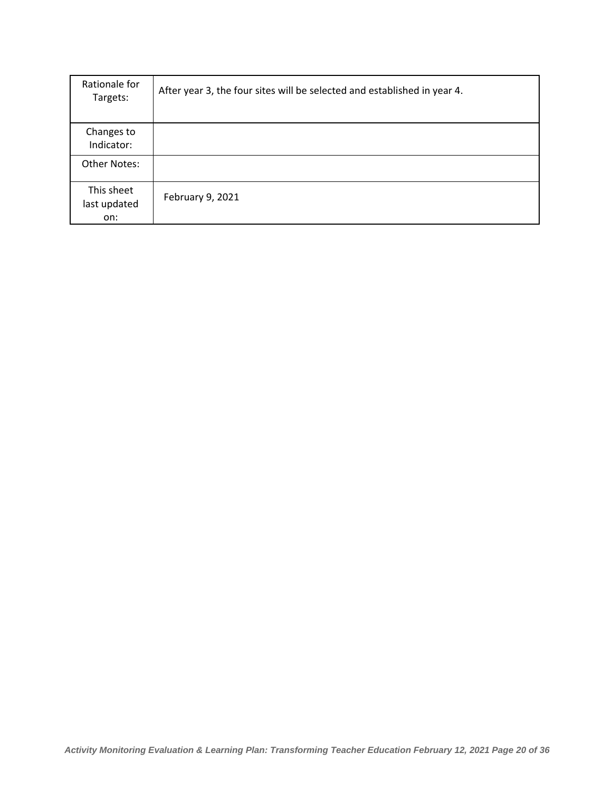| Rationale for<br>Targets:         | After year 3, the four sites will be selected and established in year 4. |
|-----------------------------------|--------------------------------------------------------------------------|
| Changes to<br>Indicator:          |                                                                          |
| Other Notes:                      |                                                                          |
| This sheet<br>last updated<br>on: | February 9, 2021                                                         |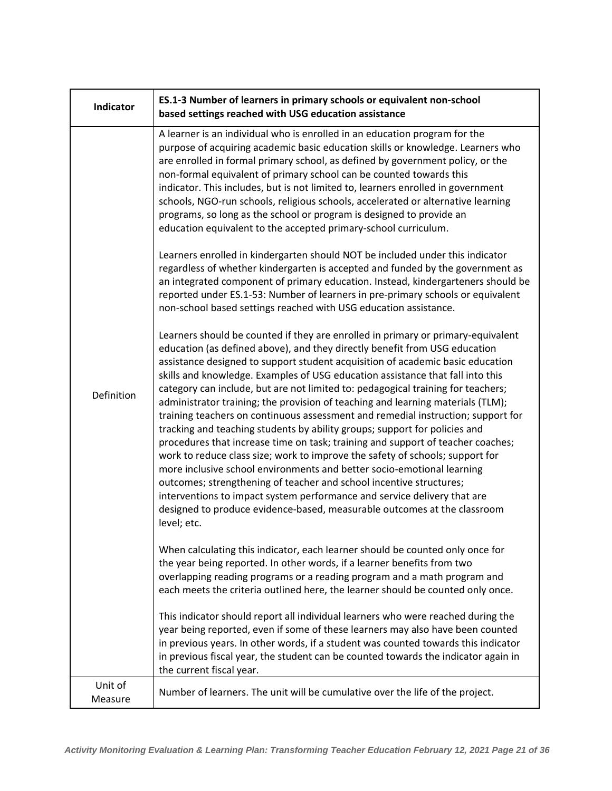| <b>Indicator</b>   | ES.1-3 Number of learners in primary schools or equivalent non-school<br>based settings reached with USG education assistance                                                                                                                                                                                                                                                                                                                                                                                                                                                                                                                                                                                                                                                                                                                                                                                                                                                                                                                                                                                                                                           |
|--------------------|-------------------------------------------------------------------------------------------------------------------------------------------------------------------------------------------------------------------------------------------------------------------------------------------------------------------------------------------------------------------------------------------------------------------------------------------------------------------------------------------------------------------------------------------------------------------------------------------------------------------------------------------------------------------------------------------------------------------------------------------------------------------------------------------------------------------------------------------------------------------------------------------------------------------------------------------------------------------------------------------------------------------------------------------------------------------------------------------------------------------------------------------------------------------------|
| <b>Definition</b>  | A learner is an individual who is enrolled in an education program for the<br>purpose of acquiring academic basic education skills or knowledge. Learners who<br>are enrolled in formal primary school, as defined by government policy, or the<br>non-formal equivalent of primary school can be counted towards this<br>indicator. This includes, but is not limited to, learners enrolled in government<br>schools, NGO-run schools, religious schools, accelerated or alternative learning<br>programs, so long as the school or program is designed to provide an<br>education equivalent to the accepted primary-school curriculum.                                                                                                                                                                                                                                                                                                                                                                                                                                                                                                                               |
|                    | Learners enrolled in kindergarten should NOT be included under this indicator<br>regardless of whether kindergarten is accepted and funded by the government as<br>an integrated component of primary education. Instead, kindergarteners should be<br>reported under ES.1-53: Number of learners in pre-primary schools or equivalent<br>non-school based settings reached with USG education assistance.                                                                                                                                                                                                                                                                                                                                                                                                                                                                                                                                                                                                                                                                                                                                                              |
|                    | Learners should be counted if they are enrolled in primary or primary-equivalent<br>education (as defined above), and they directly benefit from USG education<br>assistance designed to support student acquisition of academic basic education<br>skills and knowledge. Examples of USG education assistance that fall into this<br>category can include, but are not limited to: pedagogical training for teachers;<br>administrator training; the provision of teaching and learning materials (TLM);<br>training teachers on continuous assessment and remedial instruction; support for<br>tracking and teaching students by ability groups; support for policies and<br>procedures that increase time on task; training and support of teacher coaches;<br>work to reduce class size; work to improve the safety of schools; support for<br>more inclusive school environments and better socio-emotional learning<br>outcomes; strengthening of teacher and school incentive structures;<br>interventions to impact system performance and service delivery that are<br>designed to produce evidence-based, measurable outcomes at the classroom<br>level; etc. |
|                    | When calculating this indicator, each learner should be counted only once for<br>the year being reported. In other words, if a learner benefits from two<br>overlapping reading programs or a reading program and a math program and<br>each meets the criteria outlined here, the learner should be counted only once.                                                                                                                                                                                                                                                                                                                                                                                                                                                                                                                                                                                                                                                                                                                                                                                                                                                 |
|                    | This indicator should report all individual learners who were reached during the<br>year being reported, even if some of these learners may also have been counted<br>in previous years. In other words, if a student was counted towards this indicator<br>in previous fiscal year, the student can be counted towards the indicator again in<br>the current fiscal year.                                                                                                                                                                                                                                                                                                                                                                                                                                                                                                                                                                                                                                                                                                                                                                                              |
| Unit of<br>Measure | Number of learners. The unit will be cumulative over the life of the project.                                                                                                                                                                                                                                                                                                                                                                                                                                                                                                                                                                                                                                                                                                                                                                                                                                                                                                                                                                                                                                                                                           |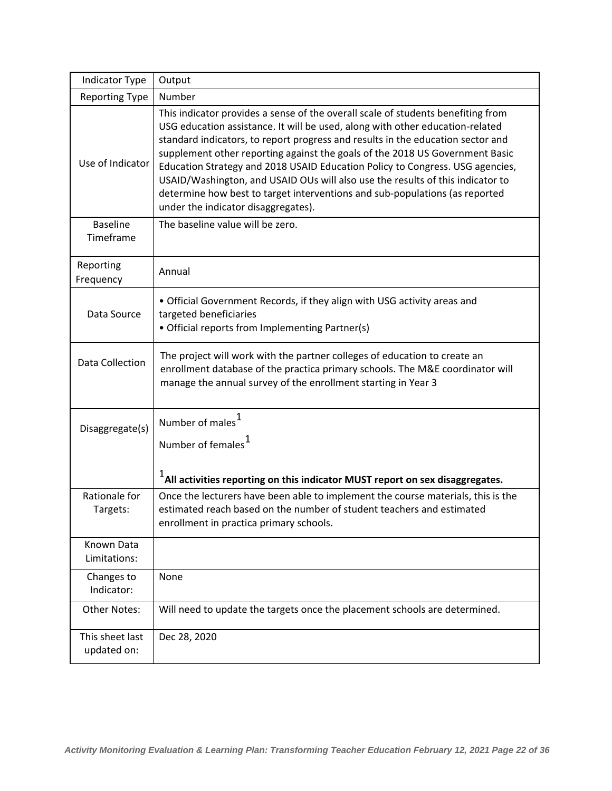| Indicator Type                 | Output                                                                                                                                                                                                                                                                                                                                                                                                                                                                                                                                                                                                                        |
|--------------------------------|-------------------------------------------------------------------------------------------------------------------------------------------------------------------------------------------------------------------------------------------------------------------------------------------------------------------------------------------------------------------------------------------------------------------------------------------------------------------------------------------------------------------------------------------------------------------------------------------------------------------------------|
| <b>Reporting Type</b>          | Number                                                                                                                                                                                                                                                                                                                                                                                                                                                                                                                                                                                                                        |
| Use of Indicator               | This indicator provides a sense of the overall scale of students benefiting from<br>USG education assistance. It will be used, along with other education-related<br>standard indicators, to report progress and results in the education sector and<br>supplement other reporting against the goals of the 2018 US Government Basic<br>Education Strategy and 2018 USAID Education Policy to Congress. USG agencies,<br>USAID/Washington, and USAID OUs will also use the results of this indicator to<br>determine how best to target interventions and sub-populations (as reported<br>under the indicator disaggregates). |
| <b>Baseline</b><br>Timeframe   | The baseline value will be zero.                                                                                                                                                                                                                                                                                                                                                                                                                                                                                                                                                                                              |
| Reporting<br>Frequency         | Annual                                                                                                                                                                                                                                                                                                                                                                                                                                                                                                                                                                                                                        |
| Data Source                    | • Official Government Records, if they align with USG activity areas and<br>targeted beneficiaries<br>• Official reports from Implementing Partner(s)                                                                                                                                                                                                                                                                                                                                                                                                                                                                         |
| Data Collection                | The project will work with the partner colleges of education to create an<br>enrollment database of the practica primary schools. The M&E coordinator will<br>manage the annual survey of the enrollment starting in Year 3                                                                                                                                                                                                                                                                                                                                                                                                   |
| Disaggregate(s)                | Number of males <sup>1</sup><br>Number of females <sup>1</sup><br>$1$ All activities reporting on this indicator MUST report on sex disaggregates.                                                                                                                                                                                                                                                                                                                                                                                                                                                                            |
| Rationale for<br>Targets:      | Once the lecturers have been able to implement the course materials, this is the<br>estimated reach based on the number of student teachers and estimated<br>enrollment in practica primary schools.                                                                                                                                                                                                                                                                                                                                                                                                                          |
| Known Data<br>Limitations:     |                                                                                                                                                                                                                                                                                                                                                                                                                                                                                                                                                                                                                               |
| Changes to<br>Indicator:       | None                                                                                                                                                                                                                                                                                                                                                                                                                                                                                                                                                                                                                          |
| Other Notes:                   | Will need to update the targets once the placement schools are determined.                                                                                                                                                                                                                                                                                                                                                                                                                                                                                                                                                    |
| This sheet last<br>updated on: | Dec 28, 2020                                                                                                                                                                                                                                                                                                                                                                                                                                                                                                                                                                                                                  |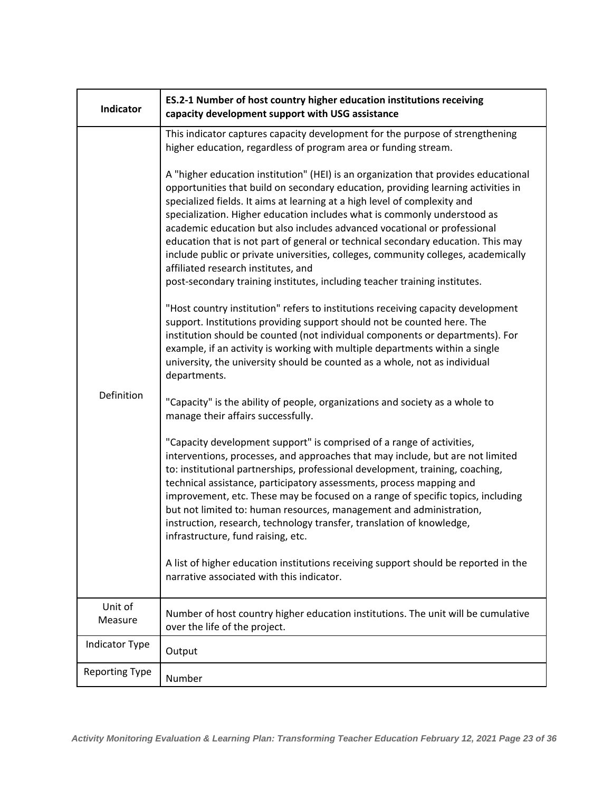| Indicator             | ES.2-1 Number of host country higher education institutions receiving<br>capacity development support with USG assistance                                                                                                                                                                                                                                                                                                                                                                                                                                                                                                                                                                                    |
|-----------------------|--------------------------------------------------------------------------------------------------------------------------------------------------------------------------------------------------------------------------------------------------------------------------------------------------------------------------------------------------------------------------------------------------------------------------------------------------------------------------------------------------------------------------------------------------------------------------------------------------------------------------------------------------------------------------------------------------------------|
|                       | This indicator captures capacity development for the purpose of strengthening<br>higher education, regardless of program area or funding stream.                                                                                                                                                                                                                                                                                                                                                                                                                                                                                                                                                             |
| Definition            | A "higher education institution" (HEI) is an organization that provides educational<br>opportunities that build on secondary education, providing learning activities in<br>specialized fields. It aims at learning at a high level of complexity and<br>specialization. Higher education includes what is commonly understood as<br>academic education but also includes advanced vocational or professional<br>education that is not part of general or technical secondary education. This may<br>include public or private universities, colleges, community colleges, academically<br>affiliated research institutes, and<br>post-secondary training institutes, including teacher training institutes. |
|                       | "Host country institution" refers to institutions receiving capacity development<br>support. Institutions providing support should not be counted here. The<br>institution should be counted (not individual components or departments). For<br>example, if an activity is working with multiple departments within a single<br>university, the university should be counted as a whole, not as individual<br>departments.                                                                                                                                                                                                                                                                                   |
|                       | "Capacity" is the ability of people, organizations and society as a whole to<br>manage their affairs successfully.                                                                                                                                                                                                                                                                                                                                                                                                                                                                                                                                                                                           |
|                       | "Capacity development support" is comprised of a range of activities,<br>interventions, processes, and approaches that may include, but are not limited<br>to: institutional partnerships, professional development, training, coaching,<br>technical assistance, participatory assessments, process mapping and<br>improvement, etc. These may be focused on a range of specific topics, including<br>but not limited to: human resources, management and administration,<br>instruction, research, technology transfer, translation of knowledge,<br>infrastructure, fund raising, etc.                                                                                                                    |
|                       | A list of higher education institutions receiving support should be reported in the<br>narrative associated with this indicator.                                                                                                                                                                                                                                                                                                                                                                                                                                                                                                                                                                             |
| Unit of<br>Measure    | Number of host country higher education institutions. The unit will be cumulative<br>over the life of the project.                                                                                                                                                                                                                                                                                                                                                                                                                                                                                                                                                                                           |
| <b>Indicator Type</b> | Output                                                                                                                                                                                                                                                                                                                                                                                                                                                                                                                                                                                                                                                                                                       |
| <b>Reporting Type</b> | Number                                                                                                                                                                                                                                                                                                                                                                                                                                                                                                                                                                                                                                                                                                       |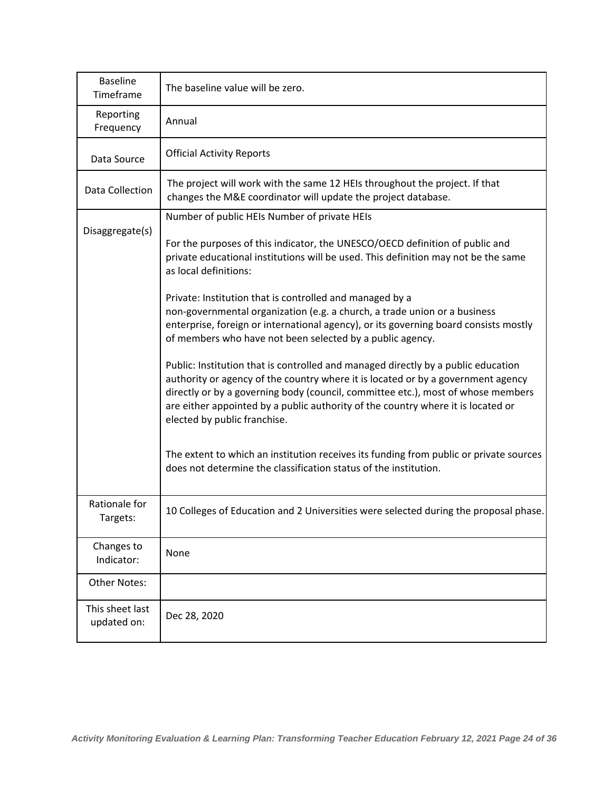| <b>Baseline</b><br>Timeframe   | The baseline value will be zero.                                                                                                                                                                                                                                                                                                                                              |
|--------------------------------|-------------------------------------------------------------------------------------------------------------------------------------------------------------------------------------------------------------------------------------------------------------------------------------------------------------------------------------------------------------------------------|
| Reporting<br>Frequency         | Annual                                                                                                                                                                                                                                                                                                                                                                        |
| Data Source                    | <b>Official Activity Reports</b>                                                                                                                                                                                                                                                                                                                                              |
| Data Collection                | The project will work with the same 12 HEIs throughout the project. If that<br>changes the M&E coordinator will update the project database.                                                                                                                                                                                                                                  |
|                                | Number of public HEIs Number of private HEIs                                                                                                                                                                                                                                                                                                                                  |
| Disaggregate(s)                | For the purposes of this indicator, the UNESCO/OECD definition of public and<br>private educational institutions will be used. This definition may not be the same<br>as local definitions:                                                                                                                                                                                   |
|                                | Private: Institution that is controlled and managed by a                                                                                                                                                                                                                                                                                                                      |
|                                | non-governmental organization (e.g. a church, a trade union or a business                                                                                                                                                                                                                                                                                                     |
|                                | enterprise, foreign or international agency), or its governing board consists mostly<br>of members who have not been selected by a public agency.                                                                                                                                                                                                                             |
|                                | Public: Institution that is controlled and managed directly by a public education<br>authority or agency of the country where it is located or by a government agency<br>directly or by a governing body (council, committee etc.), most of whose members<br>are either appointed by a public authority of the country where it is located or<br>elected by public franchise. |
|                                | The extent to which an institution receives its funding from public or private sources<br>does not determine the classification status of the institution.                                                                                                                                                                                                                    |
| Rationale for<br>Targets:      | 10 Colleges of Education and 2 Universities were selected during the proposal phase.                                                                                                                                                                                                                                                                                          |
| Changes to<br>Indicator:       | None                                                                                                                                                                                                                                                                                                                                                                          |
| Other Notes:                   |                                                                                                                                                                                                                                                                                                                                                                               |
| This sheet last<br>updated on: | Dec 28, 2020                                                                                                                                                                                                                                                                                                                                                                  |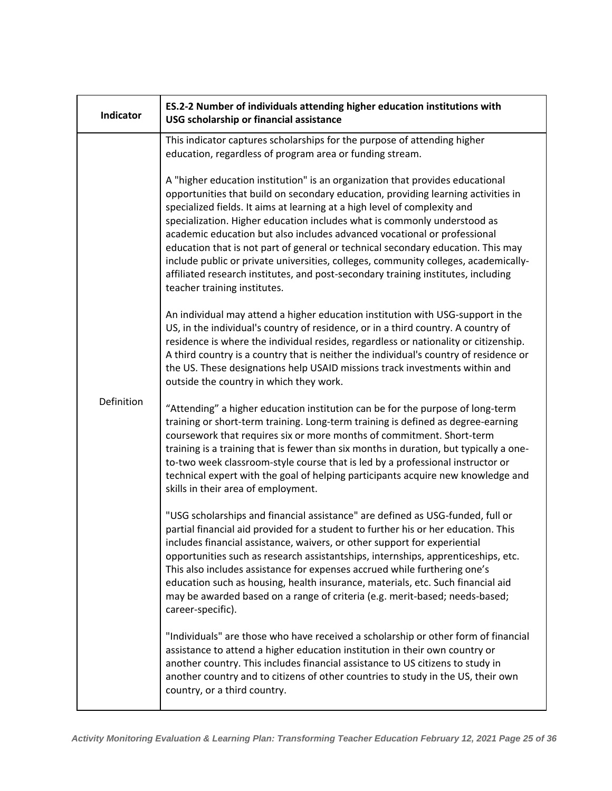| <b>Indicator</b> | ES.2-2 Number of individuals attending higher education institutions with<br>USG scholarship or financial assistance                                                                                                                                                                                                                                                                                                                                                                                                                                                                                                                                                                                    |
|------------------|---------------------------------------------------------------------------------------------------------------------------------------------------------------------------------------------------------------------------------------------------------------------------------------------------------------------------------------------------------------------------------------------------------------------------------------------------------------------------------------------------------------------------------------------------------------------------------------------------------------------------------------------------------------------------------------------------------|
| Definition       | This indicator captures scholarships for the purpose of attending higher<br>education, regardless of program area or funding stream.                                                                                                                                                                                                                                                                                                                                                                                                                                                                                                                                                                    |
|                  | A "higher education institution" is an organization that provides educational<br>opportunities that build on secondary education, providing learning activities in<br>specialized fields. It aims at learning at a high level of complexity and<br>specialization. Higher education includes what is commonly understood as<br>academic education but also includes advanced vocational or professional<br>education that is not part of general or technical secondary education. This may<br>include public or private universities, colleges, community colleges, academically-<br>affiliated research institutes, and post-secondary training institutes, including<br>teacher training institutes. |
|                  | An individual may attend a higher education institution with USG-support in the<br>US, in the individual's country of residence, or in a third country. A country of<br>residence is where the individual resides, regardless or nationality or citizenship.<br>A third country is a country that is neither the individual's country of residence or<br>the US. These designations help USAID missions track investments within and<br>outside the country in which they work.                                                                                                                                                                                                                         |
|                  | "Attending" a higher education institution can be for the purpose of long-term<br>training or short-term training. Long-term training is defined as degree-earning<br>coursework that requires six or more months of commitment. Short-term<br>training is a training that is fewer than six months in duration, but typically a one-<br>to-two week classroom-style course that is led by a professional instructor or<br>technical expert with the goal of helping participants acquire new knowledge and<br>skills in their area of employment.                                                                                                                                                      |
|                  | "USG scholarships and financial assistance" are defined as USG-funded, full or<br>partial financial aid provided for a student to further his or her education. This<br>includes financial assistance, waivers, or other support for experiential<br>opportunities such as research assistantships, internships, apprenticeships, etc.<br>This also includes assistance for expenses accrued while furthering one's<br>education such as housing, health insurance, materials, etc. Such financial aid<br>may be awarded based on a range of criteria (e.g. merit-based; needs-based;<br>career-specific).                                                                                              |
|                  | "Individuals" are those who have received a scholarship or other form of financial<br>assistance to attend a higher education institution in their own country or<br>another country. This includes financial assistance to US citizens to study in<br>another country and to citizens of other countries to study in the US, their own<br>country, or a third country.                                                                                                                                                                                                                                                                                                                                 |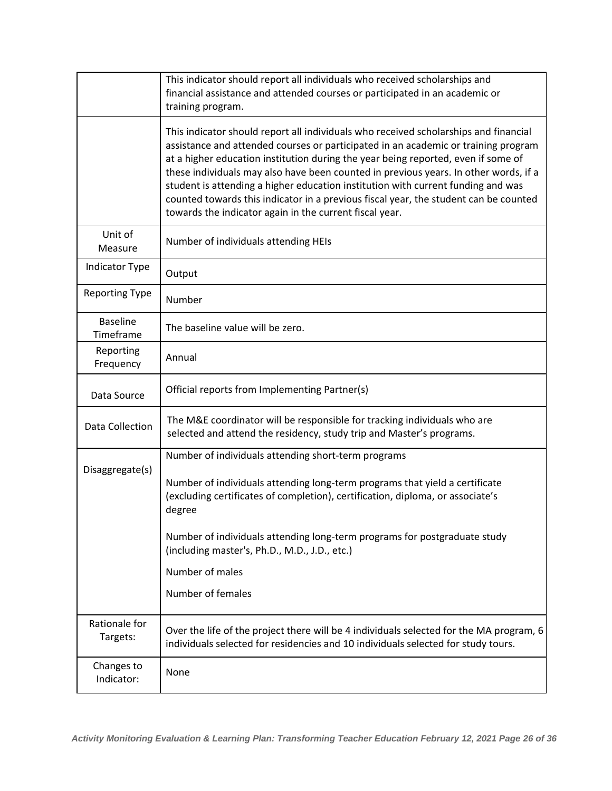|                              | This indicator should report all individuals who received scholarships and<br>financial assistance and attended courses or participated in an academic or<br>training program.                                                                                                                                                                                                                                                                                                                                                                                                                 |
|------------------------------|------------------------------------------------------------------------------------------------------------------------------------------------------------------------------------------------------------------------------------------------------------------------------------------------------------------------------------------------------------------------------------------------------------------------------------------------------------------------------------------------------------------------------------------------------------------------------------------------|
|                              | This indicator should report all individuals who received scholarships and financial<br>assistance and attended courses or participated in an academic or training program<br>at a higher education institution during the year being reported, even if some of<br>these individuals may also have been counted in previous years. In other words, if a<br>student is attending a higher education institution with current funding and was<br>counted towards this indicator in a previous fiscal year, the student can be counted<br>towards the indicator again in the current fiscal year. |
| Unit of<br>Measure           | Number of individuals attending HEIs                                                                                                                                                                                                                                                                                                                                                                                                                                                                                                                                                           |
| Indicator Type               | Output                                                                                                                                                                                                                                                                                                                                                                                                                                                                                                                                                                                         |
| <b>Reporting Type</b>        | Number                                                                                                                                                                                                                                                                                                                                                                                                                                                                                                                                                                                         |
| <b>Baseline</b><br>Timeframe | The baseline value will be zero.                                                                                                                                                                                                                                                                                                                                                                                                                                                                                                                                                               |
| Reporting<br>Frequency       | Annual                                                                                                                                                                                                                                                                                                                                                                                                                                                                                                                                                                                         |
| Data Source                  | Official reports from Implementing Partner(s)                                                                                                                                                                                                                                                                                                                                                                                                                                                                                                                                                  |
| Data Collection              | The M&E coordinator will be responsible for tracking individuals who are<br>selected and attend the residency, study trip and Master's programs.                                                                                                                                                                                                                                                                                                                                                                                                                                               |
| Disaggregate(s)              | Number of individuals attending short-term programs<br>Number of individuals attending long-term programs that yield a certificate<br>(excluding certificates of completion), certification, diploma, or associate's<br>degree<br>Number of individuals attending long-term programs for postgraduate study<br>(including master's, Ph.D., M.D., J.D., etc.)<br>Number of males<br>Number of females                                                                                                                                                                                           |
| Rationale for<br>Targets:    | Over the life of the project there will be 4 individuals selected for the MA program, 6<br>individuals selected for residencies and 10 individuals selected for study tours.                                                                                                                                                                                                                                                                                                                                                                                                                   |
| Changes to<br>Indicator:     | None                                                                                                                                                                                                                                                                                                                                                                                                                                                                                                                                                                                           |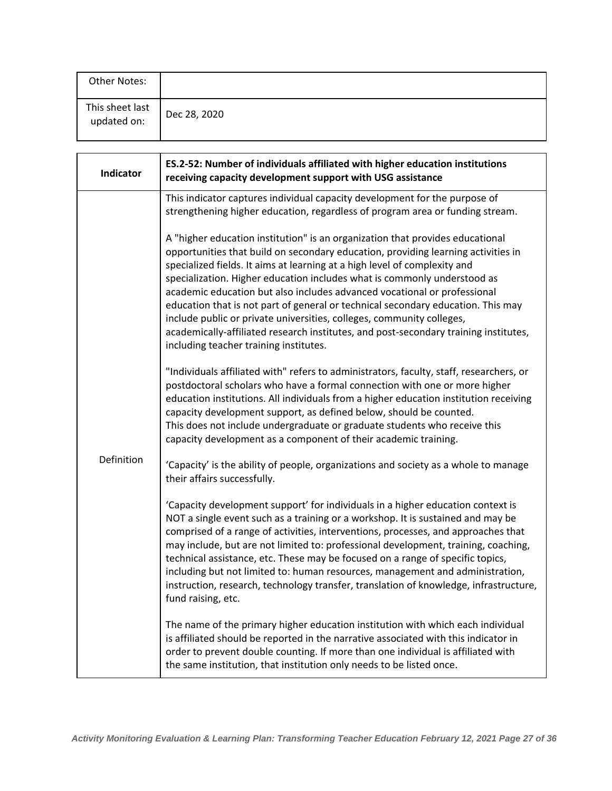| Other Notes:                   |              |
|--------------------------------|--------------|
| This sheet last<br>updated on: | Dec 28, 2020 |

| <b>Indicator</b> | ES.2-52: Number of individuals affiliated with higher education institutions<br>receiving capacity development support with USG assistance                                                                                                                                                                                                                                                                                                                                                                                                                                                                                                                                                             |
|------------------|--------------------------------------------------------------------------------------------------------------------------------------------------------------------------------------------------------------------------------------------------------------------------------------------------------------------------------------------------------------------------------------------------------------------------------------------------------------------------------------------------------------------------------------------------------------------------------------------------------------------------------------------------------------------------------------------------------|
|                  | This indicator captures individual capacity development for the purpose of<br>strengthening higher education, regardless of program area or funding stream.                                                                                                                                                                                                                                                                                                                                                                                                                                                                                                                                            |
| Definition       | A "higher education institution" is an organization that provides educational<br>opportunities that build on secondary education, providing learning activities in<br>specialized fields. It aims at learning at a high level of complexity and<br>specialization. Higher education includes what is commonly understood as<br>academic education but also includes advanced vocational or professional<br>education that is not part of general or technical secondary education. This may<br>include public or private universities, colleges, community colleges,<br>academically-affiliated research institutes, and post-secondary training institutes,<br>including teacher training institutes. |
|                  | "Individuals affiliated with" refers to administrators, faculty, staff, researchers, or<br>postdoctoral scholars who have a formal connection with one or more higher<br>education institutions. All individuals from a higher education institution receiving<br>capacity development support, as defined below, should be counted.<br>This does not include undergraduate or graduate students who receive this<br>capacity development as a component of their academic training.                                                                                                                                                                                                                   |
|                  | 'Capacity' is the ability of people, organizations and society as a whole to manage<br>their affairs successfully.                                                                                                                                                                                                                                                                                                                                                                                                                                                                                                                                                                                     |
|                  | 'Capacity development support' for individuals in a higher education context is<br>NOT a single event such as a training or a workshop. It is sustained and may be<br>comprised of a range of activities, interventions, processes, and approaches that<br>may include, but are not limited to: professional development, training, coaching,<br>technical assistance, etc. These may be focused on a range of specific topics,<br>including but not limited to: human resources, management and administration,<br>instruction, research, technology transfer, translation of knowledge, infrastructure,<br>fund raising, etc.                                                                        |
|                  | The name of the primary higher education institution with which each individual<br>is affiliated should be reported in the narrative associated with this indicator in<br>order to prevent double counting. If more than one individual is affiliated with<br>the same institution, that institution only needs to be listed once.                                                                                                                                                                                                                                                                                                                                                                     |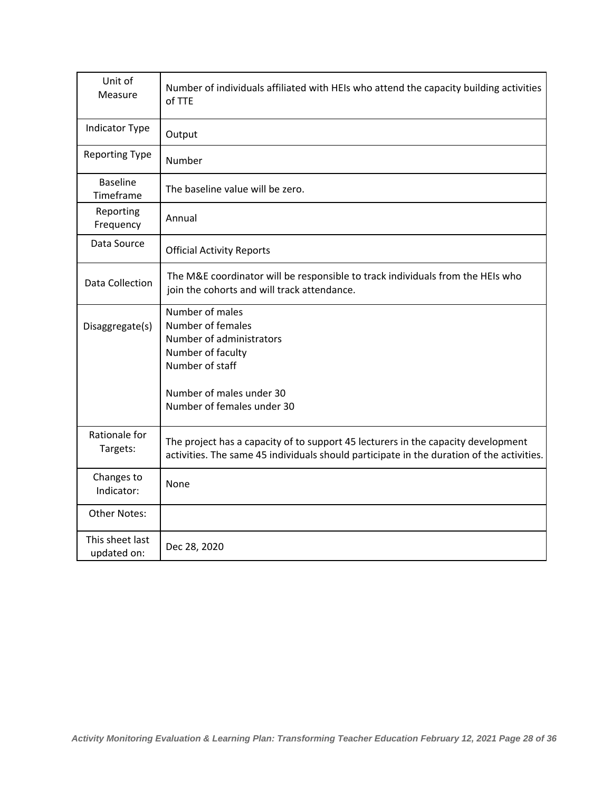| Unit of<br>Measure             | Number of individuals affiliated with HEIs who attend the capacity building activities<br>of TTE                                                                               |
|--------------------------------|--------------------------------------------------------------------------------------------------------------------------------------------------------------------------------|
| <b>Indicator Type</b>          | Output                                                                                                                                                                         |
| Reporting Type                 | Number                                                                                                                                                                         |
| <b>Baseline</b><br>Timeframe   | The baseline value will be zero.                                                                                                                                               |
| Reporting<br>Frequency         | Annual                                                                                                                                                                         |
| Data Source                    | <b>Official Activity Reports</b>                                                                                                                                               |
| <b>Data Collection</b>         | The M&E coordinator will be responsible to track individuals from the HEIs who<br>join the cohorts and will track attendance.                                                  |
| Disaggregate(s)                | Number of males<br>Number of females<br>Number of administrators<br>Number of faculty<br>Number of staff<br>Number of males under 30<br>Number of females under 30             |
| Rationale for<br>Targets:      | The project has a capacity of to support 45 lecturers in the capacity development<br>activities. The same 45 individuals should participate in the duration of the activities. |
| Changes to<br>Indicator:       | None                                                                                                                                                                           |
| <b>Other Notes:</b>            |                                                                                                                                                                                |
| This sheet last<br>updated on: | Dec 28, 2020                                                                                                                                                                   |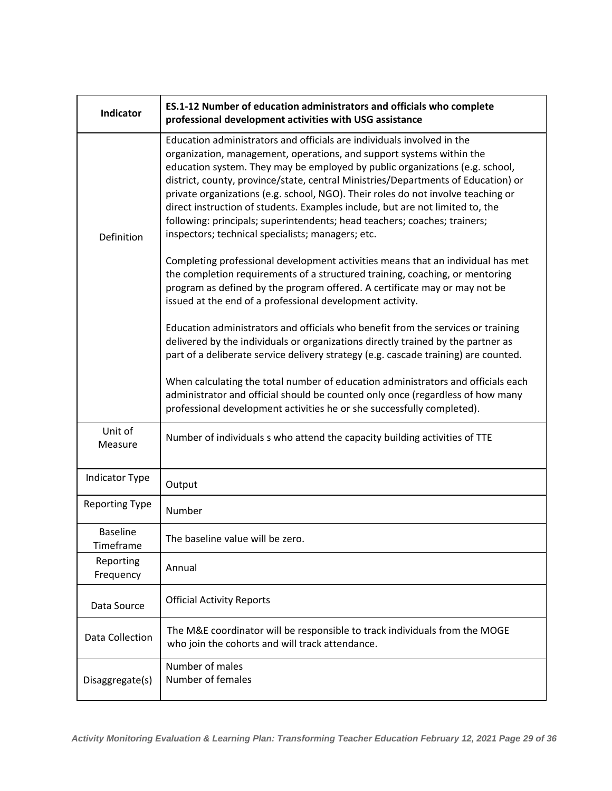| <b>Indicator</b>             | ES.1-12 Number of education administrators and officials who complete<br>professional development activities with USG assistance                                                                                                                                                                                                                                                                                                                                                                                                                                                                                           |
|------------------------------|----------------------------------------------------------------------------------------------------------------------------------------------------------------------------------------------------------------------------------------------------------------------------------------------------------------------------------------------------------------------------------------------------------------------------------------------------------------------------------------------------------------------------------------------------------------------------------------------------------------------------|
| Definition                   | Education administrators and officials are individuals involved in the<br>organization, management, operations, and support systems within the<br>education system. They may be employed by public organizations (e.g. school,<br>district, county, province/state, central Ministries/Departments of Education) or<br>private organizations (e.g. school, NGO). Their roles do not involve teaching or<br>direct instruction of students. Examples include, but are not limited to, the<br>following: principals; superintendents; head teachers; coaches; trainers;<br>inspectors; technical specialists; managers; etc. |
|                              | Completing professional development activities means that an individual has met<br>the completion requirements of a structured training, coaching, or mentoring<br>program as defined by the program offered. A certificate may or may not be<br>issued at the end of a professional development activity.                                                                                                                                                                                                                                                                                                                 |
|                              | Education administrators and officials who benefit from the services or training<br>delivered by the individuals or organizations directly trained by the partner as<br>part of a deliberate service delivery strategy (e.g. cascade training) are counted.                                                                                                                                                                                                                                                                                                                                                                |
|                              | When calculating the total number of education administrators and officials each<br>administrator and official should be counted only once (regardless of how many<br>professional development activities he or she successfully completed).                                                                                                                                                                                                                                                                                                                                                                               |
| Unit of<br>Measure           | Number of individuals s who attend the capacity building activities of TTE                                                                                                                                                                                                                                                                                                                                                                                                                                                                                                                                                 |
| Indicator Type               | Output                                                                                                                                                                                                                                                                                                                                                                                                                                                                                                                                                                                                                     |
| <b>Reporting Type</b>        | Number                                                                                                                                                                                                                                                                                                                                                                                                                                                                                                                                                                                                                     |
| <b>Baseline</b><br>Timeframe | The baseline value will be zero.                                                                                                                                                                                                                                                                                                                                                                                                                                                                                                                                                                                           |
| Reporting<br>Frequency       | Annual                                                                                                                                                                                                                                                                                                                                                                                                                                                                                                                                                                                                                     |
| Data Source                  | <b>Official Activity Reports</b>                                                                                                                                                                                                                                                                                                                                                                                                                                                                                                                                                                                           |
| <b>Data Collection</b>       | The M&E coordinator will be responsible to track individuals from the MOGE<br>who join the cohorts and will track attendance.                                                                                                                                                                                                                                                                                                                                                                                                                                                                                              |
| Disaggregate(s)              | Number of males<br>Number of females                                                                                                                                                                                                                                                                                                                                                                                                                                                                                                                                                                                       |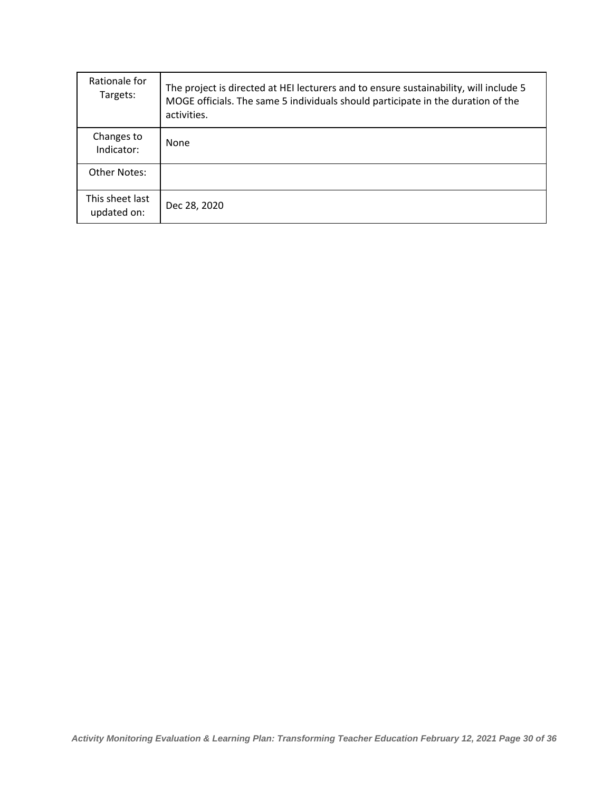| Rationale for<br>Targets:      | The project is directed at HEI lecturers and to ensure sustainability, will include 5<br>MOGE officials. The same 5 individuals should participate in the duration of the<br>activities. |
|--------------------------------|------------------------------------------------------------------------------------------------------------------------------------------------------------------------------------------|
| Changes to<br>Indicator:       | None                                                                                                                                                                                     |
| Other Notes:                   |                                                                                                                                                                                          |
| This sheet last<br>updated on: | Dec 28, 2020                                                                                                                                                                             |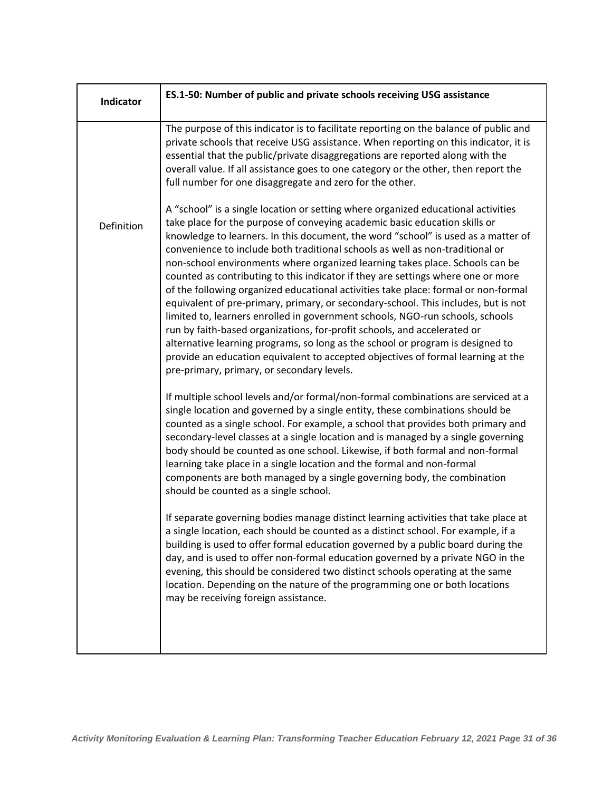| Indicator  | ES.1-50: Number of public and private schools receiving USG assistance                                                                                                                                                                                                                                                                                                                                                                                                                                                                                                                                                                                                                                                                                                                                                                                                                                                                                                                                                                                                 |
|------------|------------------------------------------------------------------------------------------------------------------------------------------------------------------------------------------------------------------------------------------------------------------------------------------------------------------------------------------------------------------------------------------------------------------------------------------------------------------------------------------------------------------------------------------------------------------------------------------------------------------------------------------------------------------------------------------------------------------------------------------------------------------------------------------------------------------------------------------------------------------------------------------------------------------------------------------------------------------------------------------------------------------------------------------------------------------------|
|            | The purpose of this indicator is to facilitate reporting on the balance of public and<br>private schools that receive USG assistance. When reporting on this indicator, it is<br>essential that the public/private disaggregations are reported along with the<br>overall value. If all assistance goes to one category or the other, then report the<br>full number for one disaggregate and zero for the other.                                                                                                                                                                                                                                                                                                                                                                                                                                                                                                                                                                                                                                                      |
| Definition | A "school" is a single location or setting where organized educational activities<br>take place for the purpose of conveying academic basic education skills or<br>knowledge to learners. In this document, the word "school" is used as a matter of<br>convenience to include both traditional schools as well as non-traditional or<br>non-school environments where organized learning takes place. Schools can be<br>counted as contributing to this indicator if they are settings where one or more<br>of the following organized educational activities take place: formal or non-formal<br>equivalent of pre-primary, primary, or secondary-school. This includes, but is not<br>limited to, learners enrolled in government schools, NGO-run schools, schools<br>run by faith-based organizations, for-profit schools, and accelerated or<br>alternative learning programs, so long as the school or program is designed to<br>provide an education equivalent to accepted objectives of formal learning at the<br>pre-primary, primary, or secondary levels. |
|            | If multiple school levels and/or formal/non-formal combinations are serviced at a<br>single location and governed by a single entity, these combinations should be<br>counted as a single school. For example, a school that provides both primary and<br>secondary-level classes at a single location and is managed by a single governing<br>body should be counted as one school. Likewise, if both formal and non-formal<br>learning take place in a single location and the formal and non-formal<br>components are both managed by a single governing body, the combination<br>should be counted as a single school.                                                                                                                                                                                                                                                                                                                                                                                                                                             |
|            | If separate governing bodies manage distinct learning activities that take place at<br>a single location, each should be counted as a distinct school. For example, if a<br>building is used to offer formal education governed by a public board during the<br>day, and is used to offer non-formal education governed by a private NGO in the<br>evening, this should be considered two distinct schools operating at the same<br>location. Depending on the nature of the programming one or both locations<br>may be receiving foreign assistance.                                                                                                                                                                                                                                                                                                                                                                                                                                                                                                                 |
|            |                                                                                                                                                                                                                                                                                                                                                                                                                                                                                                                                                                                                                                                                                                                                                                                                                                                                                                                                                                                                                                                                        |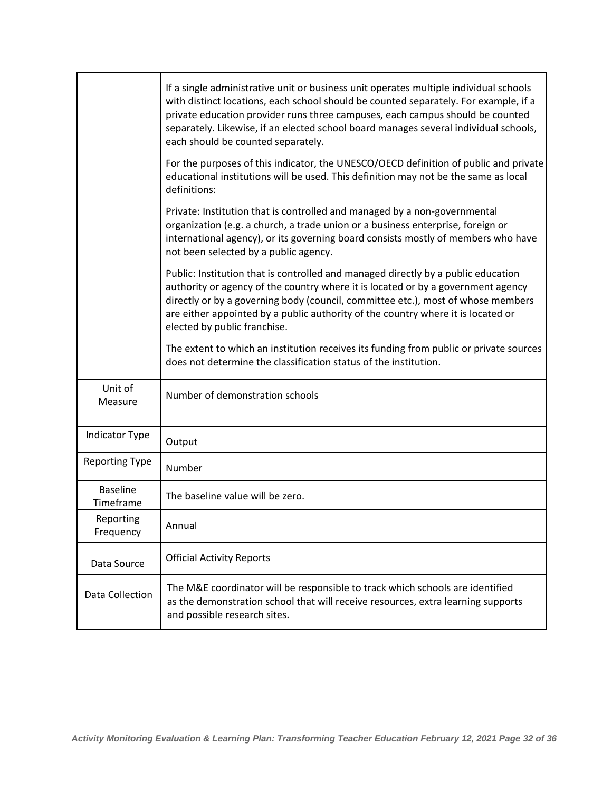|                              | If a single administrative unit or business unit operates multiple individual schools<br>with distinct locations, each school should be counted separately. For example, if a<br>private education provider runs three campuses, each campus should be counted<br>separately. Likewise, if an elected school board manages several individual schools,<br>each should be counted separately. |
|------------------------------|----------------------------------------------------------------------------------------------------------------------------------------------------------------------------------------------------------------------------------------------------------------------------------------------------------------------------------------------------------------------------------------------|
|                              | For the purposes of this indicator, the UNESCO/OECD definition of public and private<br>educational institutions will be used. This definition may not be the same as local<br>definitions:                                                                                                                                                                                                  |
|                              | Private: Institution that is controlled and managed by a non-governmental<br>organization (e.g. a church, a trade union or a business enterprise, foreign or<br>international agency), or its governing board consists mostly of members who have<br>not been selected by a public agency.                                                                                                   |
|                              | Public: Institution that is controlled and managed directly by a public education<br>authority or agency of the country where it is located or by a government agency<br>directly or by a governing body (council, committee etc.), most of whose members<br>are either appointed by a public authority of the country where it is located or<br>elected by public franchise.                |
|                              | The extent to which an institution receives its funding from public or private sources<br>does not determine the classification status of the institution.                                                                                                                                                                                                                                   |
| Unit of<br>Measure           | Number of demonstration schools                                                                                                                                                                                                                                                                                                                                                              |
| <b>Indicator Type</b>        | Output                                                                                                                                                                                                                                                                                                                                                                                       |
| <b>Reporting Type</b>        | Number                                                                                                                                                                                                                                                                                                                                                                                       |
| <b>Baseline</b><br>Timeframe | The baseline value will be zero.                                                                                                                                                                                                                                                                                                                                                             |
| Reporting<br>Frequency       | Annual                                                                                                                                                                                                                                                                                                                                                                                       |
| Data Source                  | <b>Official Activity Reports</b>                                                                                                                                                                                                                                                                                                                                                             |
| Data Collection              | The M&E coordinator will be responsible to track which schools are identified<br>as the demonstration school that will receive resources, extra learning supports<br>and possible research sites.                                                                                                                                                                                            |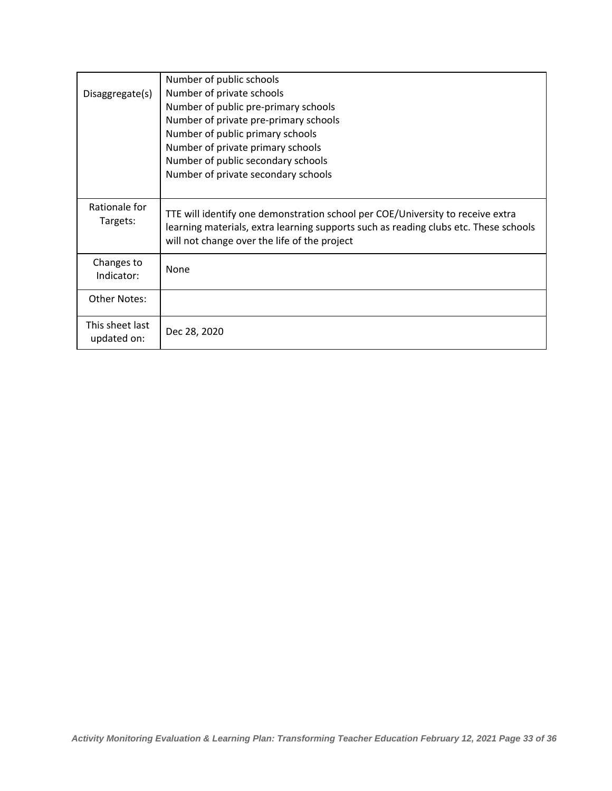| Disaggregate(s)                | Number of public schools<br>Number of private schools<br>Number of public pre-primary schools<br>Number of private pre-primary schools<br>Number of public primary schools                                             |
|--------------------------------|------------------------------------------------------------------------------------------------------------------------------------------------------------------------------------------------------------------------|
|                                | Number of private primary schools<br>Number of public secondary schools<br>Number of private secondary schools                                                                                                         |
| Rationale for<br>Targets:      | TTE will identify one demonstration school per COE/University to receive extra<br>learning materials, extra learning supports such as reading clubs etc. These schools<br>will not change over the life of the project |
| Changes to<br>Indicator:       | None                                                                                                                                                                                                                   |
| <b>Other Notes:</b>            |                                                                                                                                                                                                                        |
| This sheet last<br>updated on: | Dec 28, 2020                                                                                                                                                                                                           |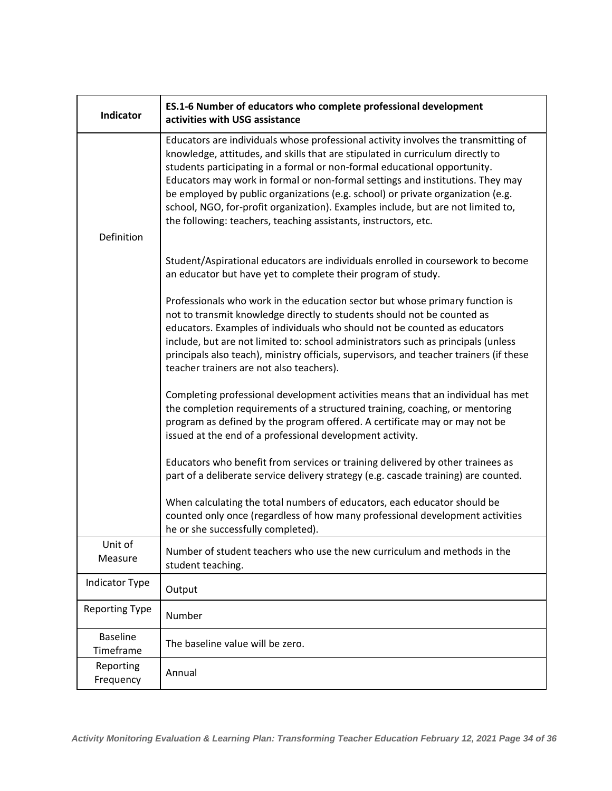| <b>Indicator</b>             | ES.1-6 Number of educators who complete professional development<br>activities with USG assistance                                                                                                                                                                                                                                                                                                                                                                                                                                                                            |
|------------------------------|-------------------------------------------------------------------------------------------------------------------------------------------------------------------------------------------------------------------------------------------------------------------------------------------------------------------------------------------------------------------------------------------------------------------------------------------------------------------------------------------------------------------------------------------------------------------------------|
|                              | Educators are individuals whose professional activity involves the transmitting of<br>knowledge, attitudes, and skills that are stipulated in curriculum directly to<br>students participating in a formal or non-formal educational opportunity.<br>Educators may work in formal or non-formal settings and institutions. They may<br>be employed by public organizations (e.g. school) or private organization (e.g.<br>school, NGO, for-profit organization). Examples include, but are not limited to,<br>the following: teachers, teaching assistants, instructors, etc. |
| Definition                   |                                                                                                                                                                                                                                                                                                                                                                                                                                                                                                                                                                               |
|                              | Student/Aspirational educators are individuals enrolled in coursework to become<br>an educator but have yet to complete their program of study.                                                                                                                                                                                                                                                                                                                                                                                                                               |
|                              | Professionals who work in the education sector but whose primary function is<br>not to transmit knowledge directly to students should not be counted as<br>educators. Examples of individuals who should not be counted as educators<br>include, but are not limited to: school administrators such as principals (unless<br>principals also teach), ministry officials, supervisors, and teacher trainers (if these<br>teacher trainers are not also teachers).                                                                                                              |
|                              | Completing professional development activities means that an individual has met<br>the completion requirements of a structured training, coaching, or mentoring<br>program as defined by the program offered. A certificate may or may not be<br>issued at the end of a professional development activity.                                                                                                                                                                                                                                                                    |
|                              | Educators who benefit from services or training delivered by other trainees as<br>part of a deliberate service delivery strategy (e.g. cascade training) are counted.                                                                                                                                                                                                                                                                                                                                                                                                         |
|                              | When calculating the total numbers of educators, each educator should be<br>counted only once (regardless of how many professional development activities<br>he or she successfully completed).                                                                                                                                                                                                                                                                                                                                                                               |
| Unit of<br>Measure           | Number of student teachers who use the new curriculum and methods in the<br>student teaching.                                                                                                                                                                                                                                                                                                                                                                                                                                                                                 |
| Indicator Type               | Output                                                                                                                                                                                                                                                                                                                                                                                                                                                                                                                                                                        |
| <b>Reporting Type</b>        | Number                                                                                                                                                                                                                                                                                                                                                                                                                                                                                                                                                                        |
| <b>Baseline</b><br>Timeframe | The baseline value will be zero.                                                                                                                                                                                                                                                                                                                                                                                                                                                                                                                                              |
| Reporting<br>Frequency       | Annual                                                                                                                                                                                                                                                                                                                                                                                                                                                                                                                                                                        |